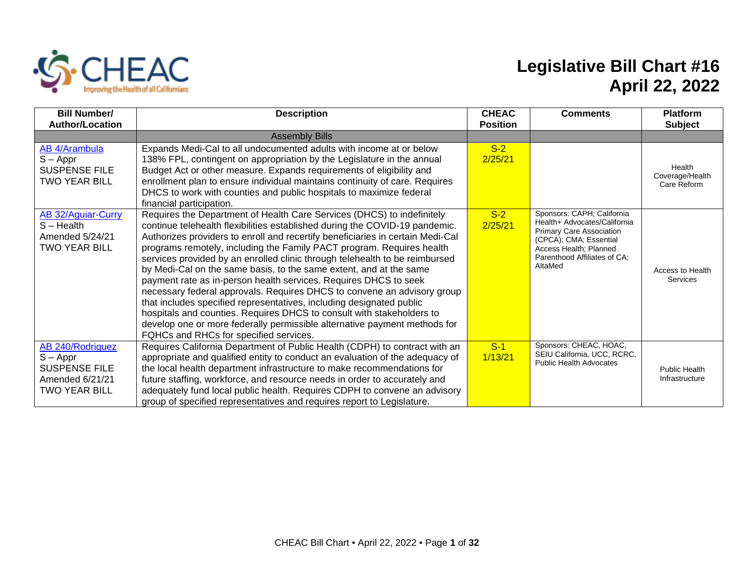

## **Legislative Bill Chart #16 April 22, 2022**

| <b>Bill Number/</b><br><b>Author/Location</b>                                                     | <b>Description</b>                                                                                                                                                                                                                                                                                                                                                                                                                                                                                                                                                                                                                                                                                                                                                                                                                                                                           | <b>CHEAC</b><br><b>Position</b> | <b>Comments</b>                                                                                                                                                                              | <b>Platform</b><br><b>Subject</b>        |
|---------------------------------------------------------------------------------------------------|----------------------------------------------------------------------------------------------------------------------------------------------------------------------------------------------------------------------------------------------------------------------------------------------------------------------------------------------------------------------------------------------------------------------------------------------------------------------------------------------------------------------------------------------------------------------------------------------------------------------------------------------------------------------------------------------------------------------------------------------------------------------------------------------------------------------------------------------------------------------------------------------|---------------------------------|----------------------------------------------------------------------------------------------------------------------------------------------------------------------------------------------|------------------------------------------|
|                                                                                                   | <b>Assembly Bills</b>                                                                                                                                                                                                                                                                                                                                                                                                                                                                                                                                                                                                                                                                                                                                                                                                                                                                        |                                 |                                                                                                                                                                                              |                                          |
| AB 4/Arambula<br>$S - Appr$<br><b>SUSPENSE FILE</b><br>TWO YEAR BILL                              | Expands Medi-Cal to all undocumented adults with income at or below<br>138% FPL, contingent on appropriation by the Legislature in the annual<br>Budget Act or other measure. Expands requirements of eligibility and<br>enrollment plan to ensure individual maintains continuity of care. Requires<br>DHCS to work with counties and public hospitals to maximize federal<br>financial participation.                                                                                                                                                                                                                                                                                                                                                                                                                                                                                      | $S-2$<br>2/25/21                |                                                                                                                                                                                              | Health<br>Coverage/Health<br>Care Reform |
| AB 32/Aguiar-Curry<br>$S - Health$<br>Amended 5/24/21<br><b>TWO YEAR BILL</b>                     | Requires the Department of Health Care Services (DHCS) to indefinitely<br>continue telehealth flexibilities established during the COVID-19 pandemic.<br>Authorizes providers to enroll and recertify beneficiaries in certain Medi-Cal<br>programs remotely, including the Family PACT program. Requires health<br>services provided by an enrolled clinic through telehealth to be reimbursed<br>by Medi-Cal on the same basis, to the same extent, and at the same<br>payment rate as in-person health services. Requires DHCS to seek<br>necessary federal approvals. Requires DHCS to convene an advisory group<br>that includes specified representatives, including designated public<br>hospitals and counties. Requires DHCS to consult with stakeholders to<br>develop one or more federally permissible alternative payment methods for<br>FQHCs and RHCs for specified services. | $S-2$<br>2/25/21                | Sponsors: CAPH; California<br>Health+ Advocates/California<br><b>Primary Care Association</b><br>(CPCA); CMA; Essential<br>Access Health; Planned<br>Parenthood Affiliates of CA:<br>AltaMed | Access to Health<br>Services             |
| AB 240/Rodriguez<br>$S - Appr$<br><b>SUSPENSE FILE</b><br>Amended 6/21/21<br><b>TWO YEAR BILL</b> | Requires California Department of Public Health (CDPH) to contract with an<br>appropriate and qualified entity to conduct an evaluation of the adequacy of<br>the local health department infrastructure to make recommendations for<br>future staffing, workforce, and resource needs in order to accurately and<br>adequately fund local public health. Requires CDPH to convene an advisory<br>group of specified representatives and requires report to Legislature.                                                                                                                                                                                                                                                                                                                                                                                                                     | $S-1$<br>1/13/21                | Sponsors: CHEAC, HOAC,<br>SEIU California, UCC, RCRC,<br><b>Public Health Advocates</b>                                                                                                      | <b>Public Health</b><br>Infrastructure   |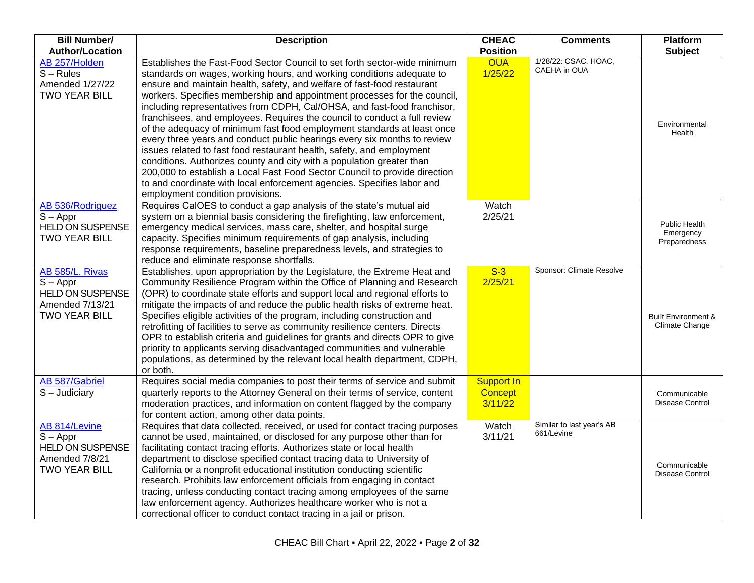| <b>Bill Number/</b>                                                                                 | <b>Description</b>                                                                                                                                                                                                                                                                                                                                                                                                                                                                                                                                                                                                                                                                                                                                                                                                                                                                                                                                                      | <b>CHEAC</b>                            | <b>Comments</b>                         | <b>Platform</b>                                  |
|-----------------------------------------------------------------------------------------------------|-------------------------------------------------------------------------------------------------------------------------------------------------------------------------------------------------------------------------------------------------------------------------------------------------------------------------------------------------------------------------------------------------------------------------------------------------------------------------------------------------------------------------------------------------------------------------------------------------------------------------------------------------------------------------------------------------------------------------------------------------------------------------------------------------------------------------------------------------------------------------------------------------------------------------------------------------------------------------|-----------------------------------------|-----------------------------------------|--------------------------------------------------|
| <b>Author/Location</b>                                                                              |                                                                                                                                                                                                                                                                                                                                                                                                                                                                                                                                                                                                                                                                                                                                                                                                                                                                                                                                                                         | <b>Position</b>                         |                                         | <b>Subject</b>                                   |
| AB 257/Holden<br>$S - Rules$<br>Amended 1/27/22<br><b>TWO YEAR BILL</b>                             | Establishes the Fast-Food Sector Council to set forth sector-wide minimum<br>standards on wages, working hours, and working conditions adequate to<br>ensure and maintain health, safety, and welfare of fast-food restaurant<br>workers. Specifies membership and appointment processes for the council,<br>including representatives from CDPH, Cal/OHSA, and fast-food franchisor,<br>franchisees, and employees. Requires the council to conduct a full review<br>of the adequacy of minimum fast food employment standards at least once<br>every three years and conduct public hearings every six months to review<br>issues related to fast food restaurant health, safety, and employment<br>conditions. Authorizes county and city with a population greater than<br>200,000 to establish a Local Fast Food Sector Council to provide direction<br>to and coordinate with local enforcement agencies. Specifies labor and<br>employment condition provisions. | <b>OUA</b><br>1/25/22                   | 1/28/22: CSAC, HOAC,<br>CAEHA in OUA    | Environmental<br>Health                          |
| AB 536/Rodriguez<br>$S - Appr$<br><b>HELD ON SUSPENSE</b><br><b>TWO YEAR BILL</b>                   | Requires CalOES to conduct a gap analysis of the state's mutual aid<br>system on a biennial basis considering the firefighting, law enforcement,<br>emergency medical services, mass care, shelter, and hospital surge<br>capacity. Specifies minimum requirements of gap analysis, including<br>response requirements, baseline preparedness levels, and strategies to<br>reduce and eliminate response shortfalls.                                                                                                                                                                                                                                                                                                                                                                                                                                                                                                                                                    | Watch<br>2/25/21                        |                                         | Public Health<br>Emergency<br>Preparedness       |
| AB 585/L. Rivas<br>$S - Appr$<br><b>HELD ON SUSPENSE</b><br>Amended 7/13/21<br><b>TWO YEAR BILL</b> | Establishes, upon appropriation by the Legislature, the Extreme Heat and<br>Community Resilience Program within the Office of Planning and Research<br>(OPR) to coordinate state efforts and support local and regional efforts to<br>mitigate the impacts of and reduce the public health risks of extreme heat.<br>Specifies eligible activities of the program, including construction and<br>retrofitting of facilities to serve as community resilience centers. Directs<br>OPR to establish criteria and guidelines for grants and directs OPR to give<br>priority to applicants serving disadvantaged communities and vulnerable<br>populations, as determined by the relevant local health department, CDPH,<br>or both.                                                                                                                                                                                                                                        | $S-3$<br>2/25/21                        | Sponsor: Climate Resolve                | <b>Built Environment &amp;</b><br>Climate Change |
| AB 587/Gabriel<br>$S -$ Judiciary                                                                   | Requires social media companies to post their terms of service and submit<br>quarterly reports to the Attorney General on their terms of service, content<br>moderation practices, and information on content flagged by the company<br>for content action, among other data points.                                                                                                                                                                                                                                                                                                                                                                                                                                                                                                                                                                                                                                                                                    | <b>Support In</b><br>Concept<br>3/11/22 |                                         | Communicable<br><b>Disease Control</b>           |
| AB 814/Levine<br>$S - Appr$<br><b>HELD ON SUSPENSE</b><br>Amended 7/8/21<br><b>TWO YEAR BILL</b>    | Requires that data collected, received, or used for contact tracing purposes<br>cannot be used, maintained, or disclosed for any purpose other than for<br>facilitating contact tracing efforts. Authorizes state or local health<br>department to disclose specified contact tracing data to University of<br>California or a nonprofit educational institution conducting scientific<br>research. Prohibits law enforcement officials from engaging in contact<br>tracing, unless conducting contact tracing among employees of the same<br>law enforcement agency. Authorizes healthcare worker who is not a<br>correctional officer to conduct contact tracing in a jail or prison.                                                                                                                                                                                                                                                                                 | Watch<br>3/11/21                        | Similar to last year's AB<br>661/Levine | Communicable<br>Disease Control                  |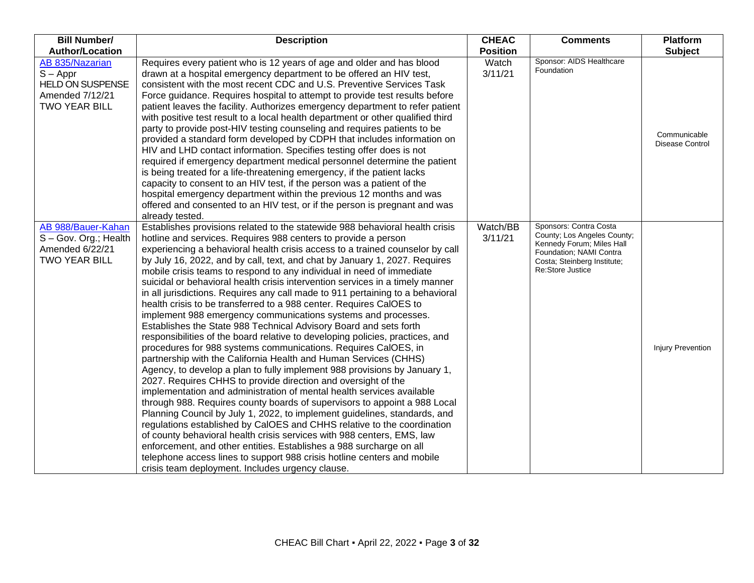| <b>Bill Number/</b>                                                                                 | <b>Description</b>                                                                                                                                                                                                                                                                                                                                                                                                                                                                                                                                                                                                                                                                                                                                                                                                                                                                                                                                                                                                                                                                                                                                                                                                                                                                                                                                                                                                                                                                                                                                                                                                                                                                                                                        | <b>CHEAC</b>        | <b>Comments</b>                                                                                                                                                  | <b>Platform</b>                 |
|-----------------------------------------------------------------------------------------------------|-------------------------------------------------------------------------------------------------------------------------------------------------------------------------------------------------------------------------------------------------------------------------------------------------------------------------------------------------------------------------------------------------------------------------------------------------------------------------------------------------------------------------------------------------------------------------------------------------------------------------------------------------------------------------------------------------------------------------------------------------------------------------------------------------------------------------------------------------------------------------------------------------------------------------------------------------------------------------------------------------------------------------------------------------------------------------------------------------------------------------------------------------------------------------------------------------------------------------------------------------------------------------------------------------------------------------------------------------------------------------------------------------------------------------------------------------------------------------------------------------------------------------------------------------------------------------------------------------------------------------------------------------------------------------------------------------------------------------------------------|---------------------|------------------------------------------------------------------------------------------------------------------------------------------------------------------|---------------------------------|
| <b>Author/Location</b>                                                                              |                                                                                                                                                                                                                                                                                                                                                                                                                                                                                                                                                                                                                                                                                                                                                                                                                                                                                                                                                                                                                                                                                                                                                                                                                                                                                                                                                                                                                                                                                                                                                                                                                                                                                                                                           | <b>Position</b>     |                                                                                                                                                                  | <b>Subject</b>                  |
| AB 835/Nazarian<br>$S - Appr$<br><b>HELD ON SUSPENSE</b><br>Amended 7/12/21<br><b>TWO YEAR BILL</b> | Requires every patient who is 12 years of age and older and has blood<br>drawn at a hospital emergency department to be offered an HIV test,<br>consistent with the most recent CDC and U.S. Preventive Services Task<br>Force guidance. Requires hospital to attempt to provide test results before<br>patient leaves the facility. Authorizes emergency department to refer patient<br>with positive test result to a local health department or other qualified third<br>party to provide post-HIV testing counseling and requires patients to be<br>provided a standard form developed by CDPH that includes information on<br>HIV and LHD contact information. Specifies testing offer does is not<br>required if emergency department medical personnel determine the patient<br>is being treated for a life-threatening emergency, if the patient lacks<br>capacity to consent to an HIV test, if the person was a patient of the<br>hospital emergency department within the previous 12 months and was<br>offered and consented to an HIV test, or if the person is pregnant and was<br>already tested.                                                                                                                                                                                                                                                                                                                                                                                                                                                                                                                                                                                                                          | Watch<br>3/11/21    | Sponsor: AIDS Healthcare<br>Foundation                                                                                                                           | Communicable<br>Disease Control |
| AB 988/Bauer-Kahan<br>S-Gov. Org.; Health<br>Amended 6/22/21<br><b>TWO YEAR BILL</b>                | Establishes provisions related to the statewide 988 behavioral health crisis<br>hotline and services. Requires 988 centers to provide a person<br>experiencing a behavioral health crisis access to a trained counselor by call<br>by July 16, 2022, and by call, text, and chat by January 1, 2027. Requires<br>mobile crisis teams to respond to any individual in need of immediate<br>suicidal or behavioral health crisis intervention services in a timely manner<br>in all jurisdictions. Requires any call made to 911 pertaining to a behavioral<br>health crisis to be transferred to a 988 center. Requires CalOES to<br>implement 988 emergency communications systems and processes.<br>Establishes the State 988 Technical Advisory Board and sets forth<br>responsibilities of the board relative to developing policies, practices, and<br>procedures for 988 systems communications. Requires CalOES, in<br>partnership with the California Health and Human Services (CHHS)<br>Agency, to develop a plan to fully implement 988 provisions by January 1,<br>2027. Requires CHHS to provide direction and oversight of the<br>implementation and administration of mental health services available<br>through 988. Requires county boards of supervisors to appoint a 988 Local<br>Planning Council by July 1, 2022, to implement guidelines, standards, and<br>regulations established by CalOES and CHHS relative to the coordination<br>of county behavioral health crisis services with 988 centers, EMS, law<br>enforcement, and other entities. Establishes a 988 surcharge on all<br>telephone access lines to support 988 crisis hotline centers and mobile<br>crisis team deployment. Includes urgency clause. | Watch/BB<br>3/11/21 | Sponsors: Contra Costa<br>County; Los Angeles County;<br>Kennedy Forum; Miles Hall<br>Foundation; NAMI Contra<br>Costa; Steinberg Institute;<br>Re:Store Justice | <b>Injury Prevention</b>        |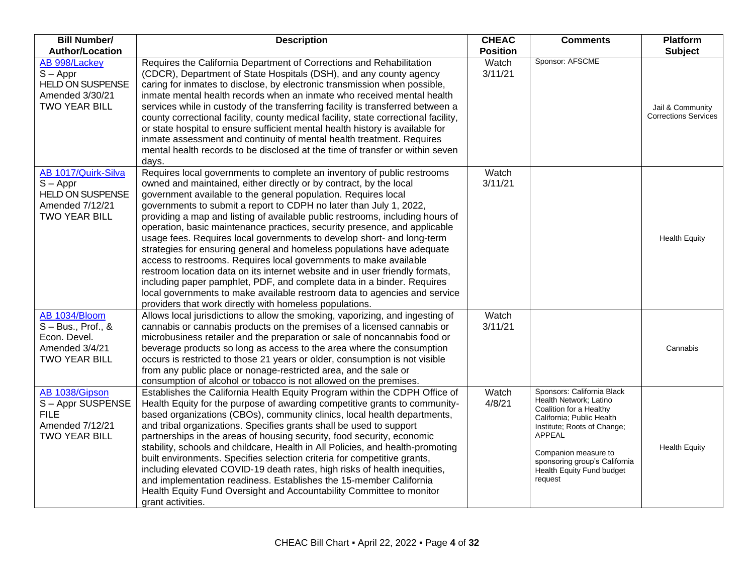| <b>Bill Number/</b><br><b>Author/Location</b>                                                           | <b>Description</b>                                                                                                                                                                                                                                                                                                                                                                                                                                                                                                                                                                                                                                                                                                                                                                                                                                                                                                                                                             | <b>CHEAC</b><br><b>Position</b> | <b>Comments</b>                                                                                                                                                                                                                                        | <b>Platform</b><br><b>Subject</b>               |
|---------------------------------------------------------------------------------------------------------|--------------------------------------------------------------------------------------------------------------------------------------------------------------------------------------------------------------------------------------------------------------------------------------------------------------------------------------------------------------------------------------------------------------------------------------------------------------------------------------------------------------------------------------------------------------------------------------------------------------------------------------------------------------------------------------------------------------------------------------------------------------------------------------------------------------------------------------------------------------------------------------------------------------------------------------------------------------------------------|---------------------------------|--------------------------------------------------------------------------------------------------------------------------------------------------------------------------------------------------------------------------------------------------------|-------------------------------------------------|
| AB 998/Lackey<br>$S - Appr$<br>HELD ON SUSPENSE<br>Amended 3/30/21<br><b>TWO YEAR BILL</b>              | Requires the California Department of Corrections and Rehabilitation<br>(CDCR), Department of State Hospitals (DSH), and any county agency<br>caring for inmates to disclose, by electronic transmission when possible,<br>inmate mental health records when an inmate who received mental health<br>services while in custody of the transferring facility is transferred between a<br>county correctional facility, county medical facility, state correctional facility,<br>or state hospital to ensure sufficient mental health history is available for<br>inmate assessment and continuity of mental health treatment. Requires<br>mental health records to be disclosed at the time of transfer or within seven<br>days.                                                                                                                                                                                                                                                | Watch<br>3/11/21                | Sponsor: AFSCME                                                                                                                                                                                                                                        | Jail & Community<br><b>Corrections Services</b> |
| AB 1017/Quirk-Silva<br>$S - Appr$<br><b>HELD ON SUSPENSE</b><br>Amended 7/12/21<br><b>TWO YEAR BILL</b> | Requires local governments to complete an inventory of public restrooms<br>owned and maintained, either directly or by contract, by the local<br>government available to the general population. Requires local<br>governments to submit a report to CDPH no later than July 1, 2022,<br>providing a map and listing of available public restrooms, including hours of<br>operation, basic maintenance practices, security presence, and applicable<br>usage fees. Requires local governments to develop short- and long-term<br>strategies for ensuring general and homeless populations have adequate<br>access to restrooms. Requires local governments to make available<br>restroom location data on its internet website and in user friendly formats,<br>including paper pamphlet, PDF, and complete data in a binder. Requires<br>local governments to make available restroom data to agencies and service<br>providers that work directly with homeless populations. | Watch<br>3/11/21                |                                                                                                                                                                                                                                                        | <b>Health Equity</b>                            |
| AB 1034/Bloom<br>$S - Bus., Prof., &$<br>Econ. Devel.<br>Amended 3/4/21<br><b>TWO YEAR BILL</b>         | Allows local jurisdictions to allow the smoking, vaporizing, and ingesting of<br>cannabis or cannabis products on the premises of a licensed cannabis or<br>microbusiness retailer and the preparation or sale of noncannabis food or<br>beverage products so long as access to the area where the consumption<br>occurs is restricted to those 21 years or older, consumption is not visible<br>from any public place or nonage-restricted area, and the sale or<br>consumption of alcohol or tobacco is not allowed on the premises.                                                                                                                                                                                                                                                                                                                                                                                                                                         | Watch<br>3/11/21                |                                                                                                                                                                                                                                                        | Cannabis                                        |
| AB 1038/Gipson<br>S-Appr SUSPENSE<br><b>FILE</b><br>Amended 7/12/21<br><b>TWO YEAR BILL</b>             | Establishes the California Health Equity Program within the CDPH Office of<br>Health Equity for the purpose of awarding competitive grants to community-<br>based organizations (CBOs), community clinics, local health departments,<br>and tribal organizations. Specifies grants shall be used to support<br>partnerships in the areas of housing security, food security, economic<br>stability, schools and childcare, Health in All Policies, and health-promoting<br>built environments. Specifies selection criteria for competitive grants,<br>including elevated COVID-19 death rates, high risks of health inequities,<br>and implementation readiness. Establishes the 15-member California<br>Health Equity Fund Oversight and Accountability Committee to monitor<br>grant activities.                                                                                                                                                                            | Watch<br>4/8/21                 | Sponsors: California Black<br>Health Network; Latino<br>Coalition for a Healthy<br>California; Public Health<br>Institute; Roots of Change;<br>APPEAL<br>Companion measure to<br>sponsoring group's California<br>Health Equity Fund budget<br>request | <b>Health Equity</b>                            |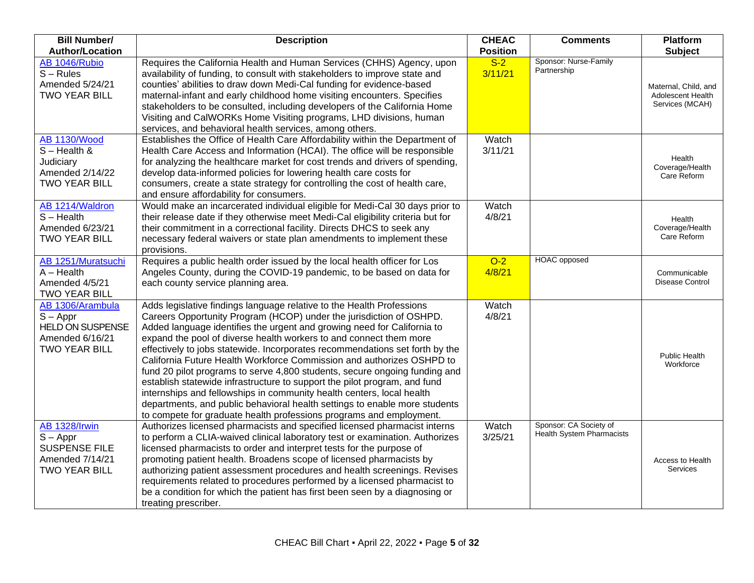| <b>Bill Number/</b><br><b>Author/Location</b>                                                         | <b>Description</b>                                                                                                                                                                                                                                                                                                                                                                                                                                                                                                                                                                                                                                                                                                                                                                                                                              | <b>CHEAC</b><br><b>Position</b> | <b>Comments</b>                                     | <b>Platform</b><br><b>Subject</b>                            |
|-------------------------------------------------------------------------------------------------------|-------------------------------------------------------------------------------------------------------------------------------------------------------------------------------------------------------------------------------------------------------------------------------------------------------------------------------------------------------------------------------------------------------------------------------------------------------------------------------------------------------------------------------------------------------------------------------------------------------------------------------------------------------------------------------------------------------------------------------------------------------------------------------------------------------------------------------------------------|---------------------------------|-----------------------------------------------------|--------------------------------------------------------------|
| AB 1046/Rubio<br>$S - Rules$<br>Amended 5/24/21<br><b>TWO YEAR BILL</b>                               | Requires the California Health and Human Services (CHHS) Agency, upon<br>availability of funding, to consult with stakeholders to improve state and<br>counties' abilities to draw down Medi-Cal funding for evidence-based<br>maternal-infant and early childhood home visiting encounters. Specifies<br>stakeholders to be consulted, including developers of the California Home<br>Visiting and CalWORKs Home Visiting programs, LHD divisions, human<br>services, and behavioral health services, among others.                                                                                                                                                                                                                                                                                                                            | $S-2$<br>3/11/21                | Sponsor: Nurse-Family<br>Partnership                | Maternal, Child, and<br>Adolescent Health<br>Services (MCAH) |
| <b>AB 1130/Wood</b><br>$S -$ Health &<br>Judiciary<br>Amended 2/14/22<br><b>TWO YEAR BILL</b>         | Establishes the Office of Health Care Affordability within the Department of<br>Health Care Access and Information (HCAI). The office will be responsible<br>for analyzing the healthcare market for cost trends and drivers of spending,<br>develop data-informed policies for lowering health care costs for<br>consumers, create a state strategy for controlling the cost of health care,<br>and ensure affordability for consumers.                                                                                                                                                                                                                                                                                                                                                                                                        | Watch<br>3/11/21                |                                                     | Health<br>Coverage/Health<br>Care Reform                     |
| AB 1214/Waldron<br>$S - Health$<br>Amended 6/23/21<br><b>TWO YEAR BILL</b>                            | Would make an incarcerated individual eligible for Medi-Cal 30 days prior to<br>their release date if they otherwise meet Medi-Cal eligibility criteria but for<br>their commitment in a correctional facility. Directs DHCS to seek any<br>necessary federal waivers or state plan amendments to implement these<br>provisions.                                                                                                                                                                                                                                                                                                                                                                                                                                                                                                                | Watch<br>4/8/21                 |                                                     | Health<br>Coverage/Health<br>Care Reform                     |
| AB 1251/Muratsuchi<br>$A - Health$<br>Amended 4/5/21<br><b>TWO YEAR BILL</b>                          | Requires a public health order issued by the local health officer for Los<br>Angeles County, during the COVID-19 pandemic, to be based on data for<br>each county service planning area.                                                                                                                                                                                                                                                                                                                                                                                                                                                                                                                                                                                                                                                        | $O-2$<br>4/8/21                 | <b>HOAC</b> opposed                                 | Communicable<br><b>Disease Control</b>                       |
| AB 1306/Arambula<br>$S - Appr$<br><b>HELD ON SUSPENSE</b><br>Amended 6/16/21<br><b>TWO YEAR BILL</b>  | Adds legislative findings language relative to the Health Professions<br>Careers Opportunity Program (HCOP) under the jurisdiction of OSHPD.<br>Added language identifies the urgent and growing need for California to<br>expand the pool of diverse health workers to and connect them more<br>effectively to jobs statewide. Incorporates recommendations set forth by the<br>California Future Health Workforce Commission and authorizes OSHPD to<br>fund 20 pilot programs to serve 4,800 students, secure ongoing funding and<br>establish statewide infrastructure to support the pilot program, and fund<br>internships and fellowships in community health centers, local health<br>departments, and public behavioral health settings to enable more students<br>to compete for graduate health professions programs and employment. | Watch<br>4/8/21                 |                                                     | <b>Public Health</b><br>Workforce                            |
| <b>AB 1328/Irwin</b><br>$S - Appr$<br><b>SUSPENSE FILE</b><br>Amended 7/14/21<br><b>TWO YEAR BILL</b> | Authorizes licensed pharmacists and specified licensed pharmacist interns<br>to perform a CLIA-waived clinical laboratory test or examination. Authorizes<br>licensed pharmacists to order and interpret tests for the purpose of<br>promoting patient health. Broadens scope of licensed pharmacists by<br>authorizing patient assessment procedures and health screenings. Revises<br>requirements related to procedures performed by a licensed pharmacist to<br>be a condition for which the patient has first been seen by a diagnosing or<br>treating prescriber.                                                                                                                                                                                                                                                                         | Watch<br>3/25/21                | Sponsor: CA Society of<br>Health System Pharmacists | Access to Health<br><b>Services</b>                          |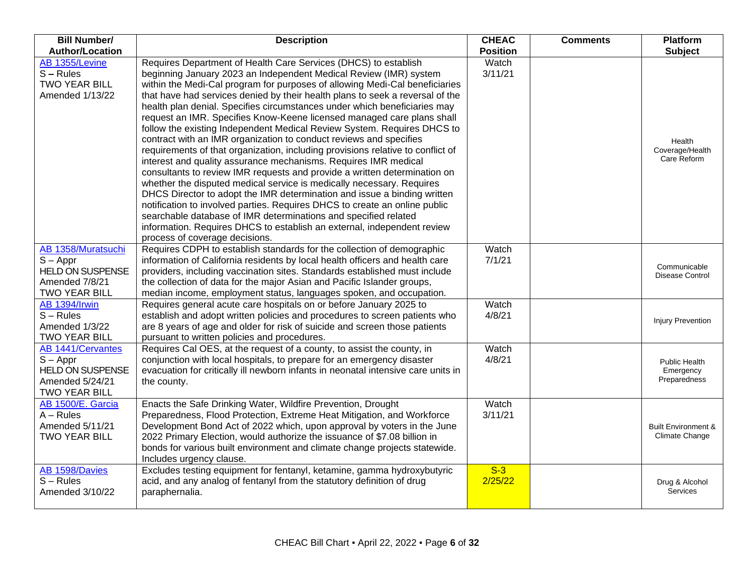| <b>Bill Number/</b>                                                                                          | <b>Description</b>                                                                                                                                                                                                                                                                                                                                                                                                                                                                                                                                                                                                                                                                                                                                                                                                                                                                                                                                                                                                                                                                                                                                                                                                                                                 | <b>CHEAC</b>     | <b>Comments</b> | <b>Platform</b>                                  |
|--------------------------------------------------------------------------------------------------------------|--------------------------------------------------------------------------------------------------------------------------------------------------------------------------------------------------------------------------------------------------------------------------------------------------------------------------------------------------------------------------------------------------------------------------------------------------------------------------------------------------------------------------------------------------------------------------------------------------------------------------------------------------------------------------------------------------------------------------------------------------------------------------------------------------------------------------------------------------------------------------------------------------------------------------------------------------------------------------------------------------------------------------------------------------------------------------------------------------------------------------------------------------------------------------------------------------------------------------------------------------------------------|------------------|-----------------|--------------------------------------------------|
| <b>Author/Location</b>                                                                                       |                                                                                                                                                                                                                                                                                                                                                                                                                                                                                                                                                                                                                                                                                                                                                                                                                                                                                                                                                                                                                                                                                                                                                                                                                                                                    | <b>Position</b>  |                 | <b>Subject</b>                                   |
| AB 1355/Levine<br>$S - Rules$<br><b>TWO YEAR BILL</b><br>Amended 1/13/22                                     | Requires Department of Health Care Services (DHCS) to establish<br>beginning January 2023 an Independent Medical Review (IMR) system<br>within the Medi-Cal program for purposes of allowing Medi-Cal beneficiaries<br>that have had services denied by their health plans to seek a reversal of the<br>health plan denial. Specifies circumstances under which beneficiaries may<br>request an IMR. Specifies Know-Keene licensed managed care plans shall<br>follow the existing Independent Medical Review System. Requires DHCS to<br>contract with an IMR organization to conduct reviews and specifies<br>requirements of that organization, including provisions relative to conflict of<br>interest and quality assurance mechanisms. Requires IMR medical<br>consultants to review IMR requests and provide a written determination on<br>whether the disputed medical service is medically necessary. Requires<br>DHCS Director to adopt the IMR determination and issue a binding written<br>notification to involved parties. Requires DHCS to create an online public<br>searchable database of IMR determinations and specified related<br>information. Requires DHCS to establish an external, independent review<br>process of coverage decisions. | Watch<br>3/11/21 |                 | Health<br>Coverage/Health<br>Care Reform         |
| AB 1358/Muratsuchi<br>$S - Appr$<br><b>HELD ON SUSPENSE</b><br>Amended 7/8/21<br><b>TWO YEAR BILL</b>        | Requires CDPH to establish standards for the collection of demographic<br>information of California residents by local health officers and health care<br>providers, including vaccination sites. Standards established must include<br>the collection of data for the major Asian and Pacific Islander groups,<br>median income, employment status, languages spoken, and occupation.                                                                                                                                                                                                                                                                                                                                                                                                                                                                                                                                                                                                                                                                                                                                                                                                                                                                             | Watch<br>7/1/21  |                 | Communicable<br>Disease Control                  |
| <b>AB 1394/Irwin</b><br>$S - Rules$<br>Amended 1/3/22<br><b>TWO YEAR BILL</b>                                | Requires general acute care hospitals on or before January 2025 to<br>establish and adopt written policies and procedures to screen patients who<br>are 8 years of age and older for risk of suicide and screen those patients<br>pursuant to written policies and procedures.                                                                                                                                                                                                                                                                                                                                                                                                                                                                                                                                                                                                                                                                                                                                                                                                                                                                                                                                                                                     | Watch<br>4/8/21  |                 | <b>Injury Prevention</b>                         |
| <b>AB 1441/Cervantes</b><br>$S - Appr$<br><b>HELD ON SUSPENSE</b><br>Amended 5/24/21<br><b>TWO YEAR BILL</b> | Requires Cal OES, at the request of a county, to assist the county, in<br>conjunction with local hospitals, to prepare for an emergency disaster<br>evacuation for critically ill newborn infants in neonatal intensive care units in<br>the county.                                                                                                                                                                                                                                                                                                                                                                                                                                                                                                                                                                                                                                                                                                                                                                                                                                                                                                                                                                                                               | Watch<br>4/8/21  |                 | Public Health<br>Emergency<br>Preparedness       |
| AB 1500/E. Garcia<br>$A - Rules$<br>Amended 5/11/21<br><b>TWO YEAR BILL</b>                                  | Enacts the Safe Drinking Water, Wildfire Prevention, Drought<br>Preparedness, Flood Protection, Extreme Heat Mitigation, and Workforce<br>Development Bond Act of 2022 which, upon approval by voters in the June<br>2022 Primary Election, would authorize the issuance of \$7.08 billion in<br>bonds for various built environment and climate change projects statewide.<br>Includes urgency clause.                                                                                                                                                                                                                                                                                                                                                                                                                                                                                                                                                                                                                                                                                                                                                                                                                                                            | Watch<br>3/11/21 |                 | <b>Built Environment &amp;</b><br>Climate Change |
| AB 1598/Davies<br>$S - Rules$<br>Amended 3/10/22                                                             | Excludes testing equipment for fentanyl, ketamine, gamma hydroxybutyric<br>acid, and any analog of fentanyl from the statutory definition of drug<br>paraphernalia.                                                                                                                                                                                                                                                                                                                                                                                                                                                                                                                                                                                                                                                                                                                                                                                                                                                                                                                                                                                                                                                                                                | $S-3$<br>2/25/22 |                 | Drug & Alcohol<br>Services                       |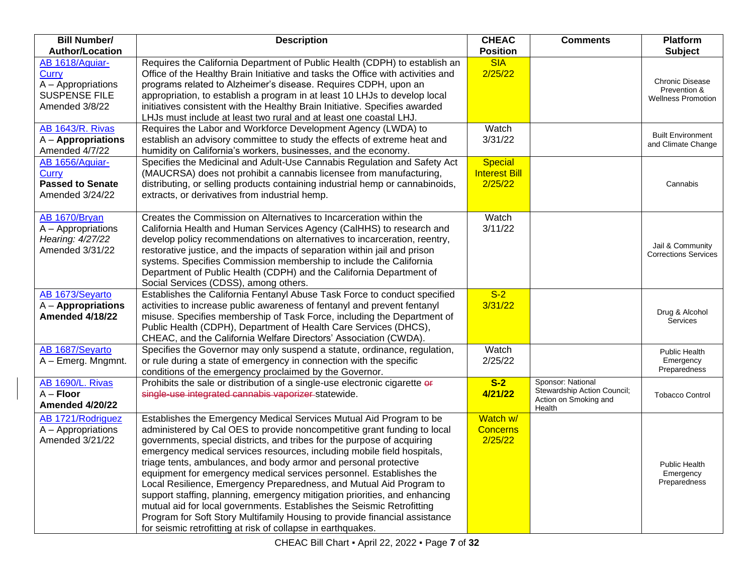| <b>Bill Number/</b><br><b>Author/Location</b>                                                   | <b>Description</b>                                                                                                                                                                                                                                                                                                                                                                                                                                                                                                                                                                                                                                                                                                                                                                                                            | <b>CHEAC</b><br><b>Position</b>                   | <b>Comments</b>                                                                     | <b>Platform</b><br><b>Subject</b>                            |
|-------------------------------------------------------------------------------------------------|-------------------------------------------------------------------------------------------------------------------------------------------------------------------------------------------------------------------------------------------------------------------------------------------------------------------------------------------------------------------------------------------------------------------------------------------------------------------------------------------------------------------------------------------------------------------------------------------------------------------------------------------------------------------------------------------------------------------------------------------------------------------------------------------------------------------------------|---------------------------------------------------|-------------------------------------------------------------------------------------|--------------------------------------------------------------|
| AB 1618/Aguiar-<br><b>Curry</b><br>A - Appropriations<br><b>SUSPENSE FILE</b><br>Amended 3/8/22 | Requires the California Department of Public Health (CDPH) to establish an<br>Office of the Healthy Brain Initiative and tasks the Office with activities and<br>programs related to Alzheimer's disease. Requires CDPH, upon an<br>appropriation, to establish a program in at least 10 LHJs to develop local<br>initiatives consistent with the Healthy Brain Initiative. Specifies awarded<br>LHJs must include at least two rural and at least one coastal LHJ.                                                                                                                                                                                                                                                                                                                                                           | <b>SIA</b><br>2/25/22                             |                                                                                     | Chronic Disease<br>Prevention &<br><b>Wellness Promotion</b> |
| <b>AB 1643/R. Rivas</b><br>$A -$ Appropriations<br>Amended 4/7/22                               | Requires the Labor and Workforce Development Agency (LWDA) to<br>establish an advisory committee to study the effects of extreme heat and<br>humidity on California's workers, businesses, and the economy.                                                                                                                                                                                                                                                                                                                                                                                                                                                                                                                                                                                                                   | Watch<br>3/31/22                                  |                                                                                     | <b>Built Environment</b><br>and Climate Change               |
| AB 1656/Aguiar-<br><b>Curry</b><br><b>Passed to Senate</b><br>Amended 3/24/22                   | Specifies the Medicinal and Adult-Use Cannabis Regulation and Safety Act<br>(MAUCRSA) does not prohibit a cannabis licensee from manufacturing,<br>distributing, or selling products containing industrial hemp or cannabinoids,<br>extracts, or derivatives from industrial hemp.                                                                                                                                                                                                                                                                                                                                                                                                                                                                                                                                            | <b>Special</b><br><b>Interest Bill</b><br>2/25/22 |                                                                                     | Cannabis                                                     |
| AB 1670/Bryan<br>A - Appropriations<br>Hearing: 4/27/22<br>Amended 3/31/22                      | Creates the Commission on Alternatives to Incarceration within the<br>California Health and Human Services Agency (CalHHS) to research and<br>develop policy recommendations on alternatives to incarceration, reentry,<br>restorative justice, and the impacts of separation within jail and prison<br>systems. Specifies Commission membership to include the California<br>Department of Public Health (CDPH) and the California Department of<br>Social Services (CDSS), among others.                                                                                                                                                                                                                                                                                                                                    | Watch<br>3/11/22                                  |                                                                                     | Jail & Community<br><b>Corrections Services</b>              |
| AB 1673/Seyarto<br>$A -$ Appropriations<br><b>Amended 4/18/22</b>                               | Establishes the California Fentanyl Abuse Task Force to conduct specified<br>activities to increase public awareness of fentanyl and prevent fentanyl<br>misuse. Specifies membership of Task Force, including the Department of<br>Public Health (CDPH), Department of Health Care Services (DHCS),<br>CHEAC, and the California Welfare Directors' Association (CWDA).                                                                                                                                                                                                                                                                                                                                                                                                                                                      | $S-2$<br>3/31/22                                  |                                                                                     | Drug & Alcohol<br>Services                                   |
| AB 1687/Seyarto<br>A - Emerg. Mngmnt.                                                           | Specifies the Governor may only suspend a statute, ordinance, regulation,<br>or rule during a state of emergency in connection with the specific<br>conditions of the emergency proclaimed by the Governor.                                                                                                                                                                                                                                                                                                                                                                                                                                                                                                                                                                                                                   | Watch<br>2/25/22                                  |                                                                                     | <b>Public Health</b><br>Emergency<br>Preparedness            |
| <b>AB 1690/L. Rivas</b><br>$A -$ Floor<br><b>Amended 4/20/22</b>                                | Prohibits the sale or distribution of a single-use electronic cigarette or<br>single-use integrated cannabis vaporizer statewide.                                                                                                                                                                                                                                                                                                                                                                                                                                                                                                                                                                                                                                                                                             | $S-2$<br>4/21/22                                  | Sponsor: National<br>Stewardship Action Council;<br>Action on Smoking and<br>Health | <b>Tobacco Control</b>                                       |
| AB 1721/Rodriguez<br>A - Appropriations<br>Amended 3/21/22                                      | Establishes the Emergency Medical Services Mutual Aid Program to be<br>administered by Cal OES to provide noncompetitive grant funding to local<br>governments, special districts, and tribes for the purpose of acquiring<br>emergency medical services resources, including mobile field hospitals,<br>triage tents, ambulances, and body armor and personal protective<br>equipment for emergency medical services personnel. Establishes the<br>Local Resilience, Emergency Preparedness, and Mutual Aid Program to<br>support staffing, planning, emergency mitigation priorities, and enhancing<br>mutual aid for local governments. Establishes the Seismic Retrofitting<br>Program for Soft Story Multifamily Housing to provide financial assistance<br>for seismic retrofitting at risk of collapse in earthquakes. | Watch w/<br><b>Concerns</b><br>2/25/22            |                                                                                     | Public Health<br>Emergency<br>Preparedness                   |

CHEAC Bill Chart ▪ April 22, 2022 ▪ Page **7** of **32**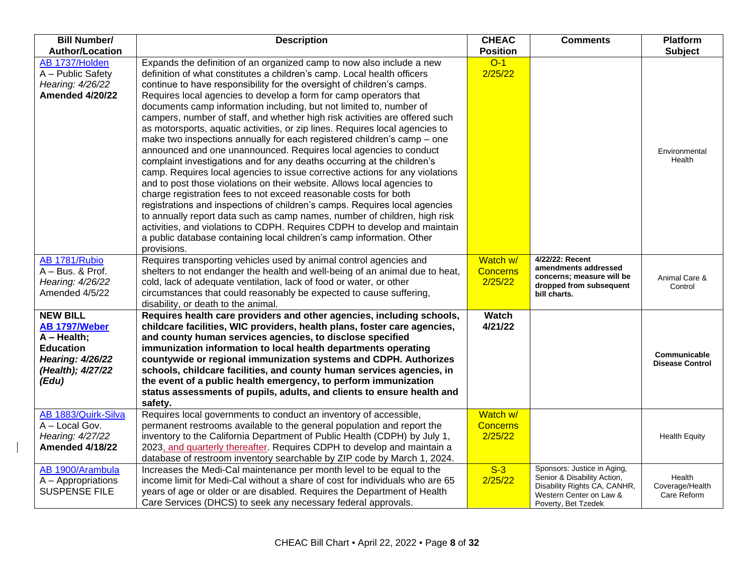| <b>Bill Number/</b>                                                                                                            | <b>Description</b>                                                                                                                                                                                                                                                                                                                                                                                                                                                                                                                                                                                                                                                                                                                                                                                                                                                                                                                                                                                                                                                                                                                                                                                                                                                                                                              | <b>CHEAC</b>                           | <b>Comments</b>                                                                                                                              | Platform                                 |
|--------------------------------------------------------------------------------------------------------------------------------|---------------------------------------------------------------------------------------------------------------------------------------------------------------------------------------------------------------------------------------------------------------------------------------------------------------------------------------------------------------------------------------------------------------------------------------------------------------------------------------------------------------------------------------------------------------------------------------------------------------------------------------------------------------------------------------------------------------------------------------------------------------------------------------------------------------------------------------------------------------------------------------------------------------------------------------------------------------------------------------------------------------------------------------------------------------------------------------------------------------------------------------------------------------------------------------------------------------------------------------------------------------------------------------------------------------------------------|----------------------------------------|----------------------------------------------------------------------------------------------------------------------------------------------|------------------------------------------|
| <b>Author/Location</b>                                                                                                         |                                                                                                                                                                                                                                                                                                                                                                                                                                                                                                                                                                                                                                                                                                                                                                                                                                                                                                                                                                                                                                                                                                                                                                                                                                                                                                                                 | <b>Position</b>                        |                                                                                                                                              | <b>Subject</b>                           |
| AB 1737/Holden<br>A - Public Safety<br>Hearing: 4/26/22<br><b>Amended 4/20/22</b>                                              | Expands the definition of an organized camp to now also include a new<br>definition of what constitutes a children's camp. Local health officers<br>continue to have responsibility for the oversight of children's camps.<br>Requires local agencies to develop a form for camp operators that<br>documents camp information including, but not limited to, number of<br>campers, number of staff, and whether high risk activities are offered such<br>as motorsports, aquatic activities, or zip lines. Requires local agencies to<br>make two inspections annually for each registered children's camp – one<br>announced and one unannounced. Requires local agencies to conduct<br>complaint investigations and for any deaths occurring at the children's<br>camp. Requires local agencies to issue corrective actions for any violations<br>and to post those violations on their website. Allows local agencies to<br>charge registration fees to not exceed reasonable costs for both<br>registrations and inspections of children's camps. Requires local agencies<br>to annually report data such as camp names, number of children, high risk<br>activities, and violations to CDPH. Requires CDPH to develop and maintain<br>a public database containing local children's camp information. Other<br>provisions. | $O-1$<br>2/25/22                       |                                                                                                                                              | Environmental<br>Health                  |
| AB 1781/Rubio<br>A - Bus. & Prof.<br>Hearing: 4/26/22<br>Amended 4/5/22                                                        | Requires transporting vehicles used by animal control agencies and<br>shelters to not endanger the health and well-being of an animal due to heat,<br>cold, lack of adequate ventilation, lack of food or water, or other<br>circumstances that could reasonably be expected to cause suffering,<br>disability, or death to the animal.                                                                                                                                                                                                                                                                                                                                                                                                                                                                                                                                                                                                                                                                                                                                                                                                                                                                                                                                                                                         | Watch w/<br><b>Concerns</b><br>2/25/22 | 4/22/22: Recent<br>amendments addressed<br>concerns; measure will be<br>dropped from subsequent<br>bill charts.                              | Animal Care &<br>Control                 |
| <b>NEW BILL</b><br>AB 1797/Weber<br>$A - Health;$<br><b>Education</b><br><b>Hearing: 4/26/22</b><br>(Health); 4/27/22<br>(Edu) | Requires health care providers and other agencies, including schools,<br>childcare facilities, WIC providers, health plans, foster care agencies,<br>and county human services agencies, to disclose specified<br>immunization information to local health departments operating<br>countywide or regional immunization systems and CDPH. Authorizes<br>schools, childcare facilities, and county human services agencies, in<br>the event of a public health emergency, to perform immunization<br>status assessments of pupils, adults, and clients to ensure health and<br>safety.                                                                                                                                                                                                                                                                                                                                                                                                                                                                                                                                                                                                                                                                                                                                           | Watch<br>4/21/22                       |                                                                                                                                              | Communicable<br><b>Disease Control</b>   |
| AB 1883/Quirk-Silva<br>A - Local Gov.<br>Hearing: 4/27/22<br><b>Amended 4/18/22</b>                                            | Requires local governments to conduct an inventory of accessible,<br>permanent restrooms available to the general population and report the<br>inventory to the California Department of Public Health (CDPH) by July 1,<br>2023, and quarterly thereafter. Requires CDPH to develop and maintain a<br>database of restroom inventory searchable by ZIP code by March 1, 2024.                                                                                                                                                                                                                                                                                                                                                                                                                                                                                                                                                                                                                                                                                                                                                                                                                                                                                                                                                  | Watch w/<br><b>Concerns</b><br>2/25/22 |                                                                                                                                              | <b>Health Equity</b>                     |
| AB 1900/Arambula<br>A - Appropriations<br><b>SUSPENSE FILE</b>                                                                 | Increases the Medi-Cal maintenance per month level to be equal to the<br>income limit for Medi-Cal without a share of cost for individuals who are 65<br>years of age or older or are disabled. Requires the Department of Health<br>Care Services (DHCS) to seek any necessary federal approvals.                                                                                                                                                                                                                                                                                                                                                                                                                                                                                                                                                                                                                                                                                                                                                                                                                                                                                                                                                                                                                              | $S-3$<br>2/25/22                       | Sponsors: Justice in Aging,<br>Senior & Disability Action,<br>Disability Rights CA, CANHR,<br>Western Center on Law &<br>Poverty, Bet Tzedek | Health<br>Coverage/Health<br>Care Reform |

 $\overline{\phantom{a}}$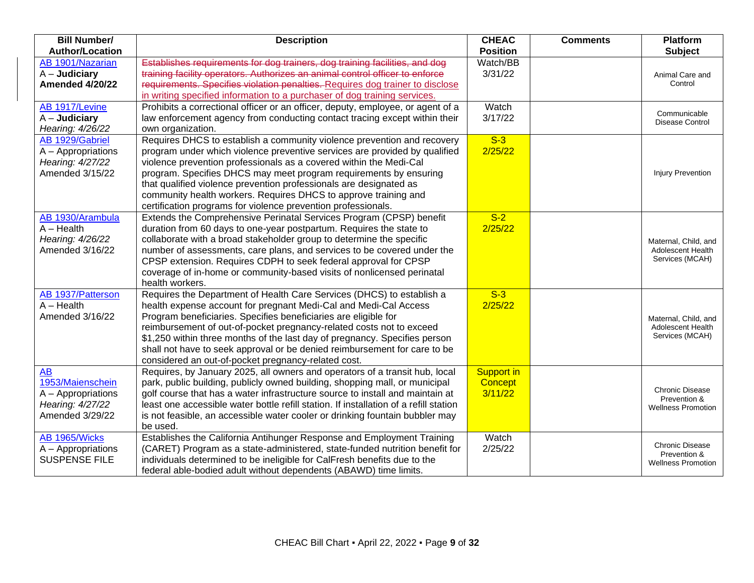| <b>Bill Number/</b><br><b>Author/Location</b>                                              | <b>Description</b>                                                                                                                                                                                                                                                                                                                                                                                                                                                                                         | <b>CHEAC</b><br><b>Position</b>         | <b>Comments</b> | Platform<br><b>Subject</b>                                          |
|--------------------------------------------------------------------------------------------|------------------------------------------------------------------------------------------------------------------------------------------------------------------------------------------------------------------------------------------------------------------------------------------------------------------------------------------------------------------------------------------------------------------------------------------------------------------------------------------------------------|-----------------------------------------|-----------------|---------------------------------------------------------------------|
| AB 1901/Nazarian<br>$A -$ Judiciary<br><b>Amended 4/20/22</b>                              | Establishes requirements for dog trainers, dog training facilities, and dog<br>training facility operators. Authorizes an animal control officer to enforce<br>requirements. Specifies violation penalties. Requires dog trainer to disclose<br>in writing specified information to a purchaser of dog training services.                                                                                                                                                                                  | Watch/BB<br>3/31/22                     |                 | Animal Care and<br>Control                                          |
| AB 1917/Levine<br>$A -$ Judiciary<br>Hearing: 4/26/22                                      | Prohibits a correctional officer or an officer, deputy, employee, or agent of a<br>law enforcement agency from conducting contact tracing except within their<br>own organization.                                                                                                                                                                                                                                                                                                                         | Watch<br>3/17/22                        |                 | Communicable<br>Disease Control                                     |
| AB 1929/Gabriel<br>A - Appropriations<br>Hearing: 4/27/22<br>Amended 3/15/22               | Requires DHCS to establish a community violence prevention and recovery<br>program under which violence preventive services are provided by qualified<br>violence prevention professionals as a covered within the Medi-Cal<br>program. Specifies DHCS may meet program requirements by ensuring<br>that qualified violence prevention professionals are designated as<br>community health workers. Requires DHCS to approve training and<br>certification programs for violence prevention professionals. | $S-3$<br>2/25/22                        |                 | <b>Injury Prevention</b>                                            |
| AB 1930/Arambula<br>$A - Health$<br>Hearing: 4/26/22<br>Amended 3/16/22                    | Extends the Comprehensive Perinatal Services Program (CPSP) benefit<br>duration from 60 days to one-year postpartum. Requires the state to<br>collaborate with a broad stakeholder group to determine the specific<br>number of assessments, care plans, and services to be covered under the<br>CPSP extension. Requires CDPH to seek federal approval for CPSP<br>coverage of in-home or community-based visits of nonlicensed perinatal<br>health workers.                                              | $S-2$<br>2/25/22                        |                 | Maternal, Child, and<br>Adolescent Health<br>Services (MCAH)        |
| AB 1937/Patterson<br>$A - Health$<br>Amended 3/16/22                                       | Requires the Department of Health Care Services (DHCS) to establish a<br>health expense account for pregnant Medi-Cal and Medi-Cal Access<br>Program beneficiaries. Specifies beneficiaries are eligible for<br>reimbursement of out-of-pocket pregnancy-related costs not to exceed<br>\$1,250 within three months of the last day of pregnancy. Specifies person<br>shall not have to seek approval or be denied reimbursement for care to be<br>considered an out-of-pocket pregnancy-related cost.     | $S-3$<br>2/25/22                        |                 | Maternal, Child, and<br>Adolescent Health<br>Services (MCAH)        |
| <b>AB</b><br>1953/Maienschein<br>A - Appropriations<br>Hearing: 4/27/22<br>Amended 3/29/22 | Requires, by January 2025, all owners and operators of a transit hub, local<br>park, public building, publicly owned building, shopping mall, or municipal<br>golf course that has a water infrastructure source to install and maintain at<br>least one accessible water bottle refill station. If installation of a refill station<br>is not feasible, an accessible water cooler or drinking fountain bubbler may<br>be used.                                                                           | <b>Support in</b><br>Concept<br>3/11/22 |                 | <b>Chronic Disease</b><br>Prevention &<br><b>Wellness Promotion</b> |
| AB 1965/Wicks<br>A - Appropriations<br><b>SUSPENSE FILE</b>                                | Establishes the California Antihunger Response and Employment Training<br>(CARET) Program as a state-administered, state-funded nutrition benefit for<br>individuals determined to be ineligible for CalFresh benefits due to the<br>federal able-bodied adult without dependents (ABAWD) time limits.                                                                                                                                                                                                     | Watch<br>2/25/22                        |                 | <b>Chronic Disease</b><br>Prevention &<br><b>Wellness Promotion</b> |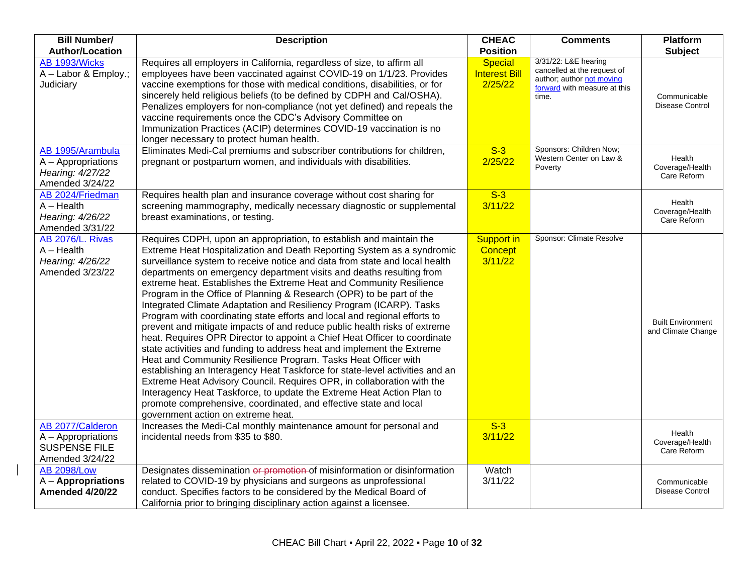| <b>Bill Number/</b><br><b>Author/Location</b>                                     | <b>Description</b>                                                                                                                                                                                                                                                                                                                                                                                                                                                                                                                                                                                                                                                                                                                                                                                                                                                                                                                                                                                                                                                                                                                                                                                                                                         | <b>CHEAC</b><br><b>Position</b>                   | <b>Comments</b>                                                                                                           | <b>Platform</b><br><b>Subject</b>              |
|-----------------------------------------------------------------------------------|------------------------------------------------------------------------------------------------------------------------------------------------------------------------------------------------------------------------------------------------------------------------------------------------------------------------------------------------------------------------------------------------------------------------------------------------------------------------------------------------------------------------------------------------------------------------------------------------------------------------------------------------------------------------------------------------------------------------------------------------------------------------------------------------------------------------------------------------------------------------------------------------------------------------------------------------------------------------------------------------------------------------------------------------------------------------------------------------------------------------------------------------------------------------------------------------------------------------------------------------------------|---------------------------------------------------|---------------------------------------------------------------------------------------------------------------------------|------------------------------------------------|
| AB 1993/Wicks<br>A - Labor & Employ.;<br>Judiciary                                | Requires all employers in California, regardless of size, to affirm all<br>employees have been vaccinated against COVID-19 on 1/1/23. Provides<br>vaccine exemptions for those with medical conditions, disabilities, or for<br>sincerely held religious beliefs (to be defined by CDPH and Cal/OSHA).<br>Penalizes employers for non-compliance (not yet defined) and repeals the<br>vaccine requirements once the CDC's Advisory Committee on<br>Immunization Practices (ACIP) determines COVID-19 vaccination is no<br>longer necessary to protect human health.                                                                                                                                                                                                                                                                                                                                                                                                                                                                                                                                                                                                                                                                                        | <b>Special</b><br><b>Interest Bill</b><br>2/25/22 | 3/31/22: L&E hearing<br>cancelled at the request of<br>author; author not moving<br>forward with measure at this<br>time. | Communicable<br>Disease Control                |
| AB 1995/Arambula<br>A - Appropriations<br>Hearing: 4/27/22<br>Amended 3/24/22     | Eliminates Medi-Cal premiums and subscriber contributions for children,<br>pregnant or postpartum women, and individuals with disabilities.                                                                                                                                                                                                                                                                                                                                                                                                                                                                                                                                                                                                                                                                                                                                                                                                                                                                                                                                                                                                                                                                                                                | $S-3$<br>2/25/22                                  | Sponsors: Children Now;<br>Western Center on Law &<br>Poverty                                                             | Health<br>Coverage/Health<br>Care Reform       |
| AB 2024/Friedman<br>$A - Health$<br>Hearing: 4/26/22<br>Amended 3/31/22           | Requires health plan and insurance coverage without cost sharing for<br>screening mammography, medically necessary diagnostic or supplemental<br>breast examinations, or testing.                                                                                                                                                                                                                                                                                                                                                                                                                                                                                                                                                                                                                                                                                                                                                                                                                                                                                                                                                                                                                                                                          | $S-3$<br>3/11/22                                  |                                                                                                                           | Health<br>Coverage/Health<br>Care Reform       |
| AB 2076/L. Rivas<br>$A - Health$<br>Hearing: 4/26/22<br>Amended 3/23/22           | Requires CDPH, upon an appropriation, to establish and maintain the<br>Extreme Heat Hospitalization and Death Reporting System as a syndromic<br>surveillance system to receive notice and data from state and local health<br>departments on emergency department visits and deaths resulting from<br>extreme heat. Establishes the Extreme Heat and Community Resilience<br>Program in the Office of Planning & Research (OPR) to be part of the<br>Integrated Climate Adaptation and Resiliency Program (ICARP). Tasks<br>Program with coordinating state efforts and local and regional efforts to<br>prevent and mitigate impacts of and reduce public health risks of extreme<br>heat. Requires OPR Director to appoint a Chief Heat Officer to coordinate<br>state activities and funding to address heat and implement the Extreme<br>Heat and Community Resilience Program. Tasks Heat Officer with<br>establishing an Interagency Heat Taskforce for state-level activities and an<br>Extreme Heat Advisory Council. Requires OPR, in collaboration with the<br>Interagency Heat Taskforce, to update the Extreme Heat Action Plan to<br>promote comprehensive, coordinated, and effective state and local<br>government action on extreme heat. | Support in<br>Concept<br>3/11/22                  | Sponsor: Climate Resolve                                                                                                  | <b>Built Environment</b><br>and Climate Change |
| AB 2077/Calderon<br>A - Appropriations<br><b>SUSPENSE FILE</b><br>Amended 3/24/22 | Increases the Medi-Cal monthly maintenance amount for personal and<br>incidental needs from \$35 to \$80.                                                                                                                                                                                                                                                                                                                                                                                                                                                                                                                                                                                                                                                                                                                                                                                                                                                                                                                                                                                                                                                                                                                                                  | $S-3$<br>3/11/22                                  |                                                                                                                           | Health<br>Coverage/Health<br>Care Reform       |
| <b>AB 2098/Low</b><br>$A -$ Appropriations<br><b>Amended 4/20/22</b>              | Designates dissemination or promotion of misinformation or disinformation<br>related to COVID-19 by physicians and surgeons as unprofessional<br>conduct. Specifies factors to be considered by the Medical Board of<br>California prior to bringing disciplinary action against a licensee.                                                                                                                                                                                                                                                                                                                                                                                                                                                                                                                                                                                                                                                                                                                                                                                                                                                                                                                                                               | Watch<br>3/11/22                                  |                                                                                                                           | Communicable<br>Disease Control                |

 $\overline{\phantom{a}}$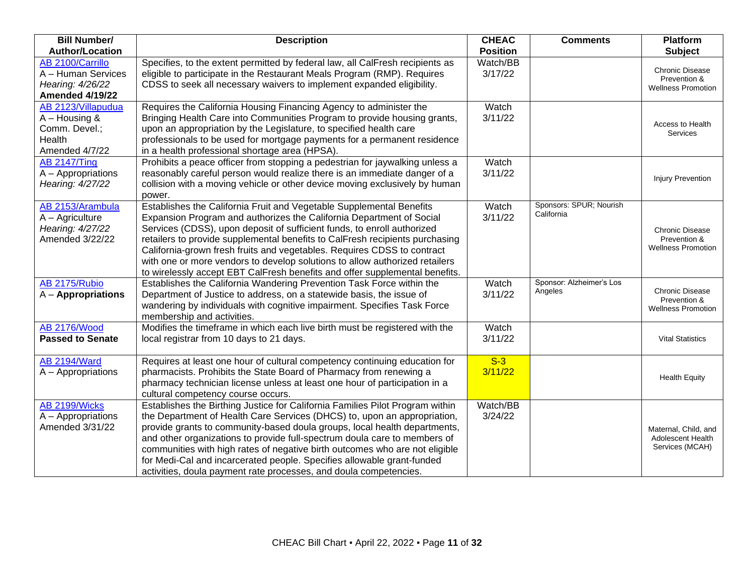| <b>Bill Number/</b><br><b>Author/Location</b>                                      | <b>Description</b>                                                                                                                                                                                                                                                                                                                                                                                                                                                                                                                                | <b>CHEAC</b><br><b>Position</b> | <b>Comments</b>                       | <b>Platform</b><br><b>Subject</b>                                   |
|------------------------------------------------------------------------------------|---------------------------------------------------------------------------------------------------------------------------------------------------------------------------------------------------------------------------------------------------------------------------------------------------------------------------------------------------------------------------------------------------------------------------------------------------------------------------------------------------------------------------------------------------|---------------------------------|---------------------------------------|---------------------------------------------------------------------|
| AB 2100/Carrillo<br>A - Human Services<br>Hearing: 4/26/22<br>Amended 4/19/22      | Specifies, to the extent permitted by federal law, all CalFresh recipients as<br>eligible to participate in the Restaurant Meals Program (RMP). Requires<br>CDSS to seek all necessary waivers to implement expanded eligibility.                                                                                                                                                                                                                                                                                                                 | Watch/BB<br>3/17/22             |                                       | Chronic Disease<br>Prevention &<br><b>Wellness Promotion</b>        |
| AB 2123/Villapudua<br>$A - Housing$ &<br>Comm. Devel.;<br>Health<br>Amended 4/7/22 | Requires the California Housing Financing Agency to administer the<br>Bringing Health Care into Communities Program to provide housing grants,<br>upon an appropriation by the Legislature, to specified health care<br>professionals to be used for mortgage payments for a permanent residence<br>in a health professional shortage area (HPSA).                                                                                                                                                                                                | Watch<br>3/11/22                |                                       | Access to Health<br>Services                                        |
| <b>AB 2147/Ting</b><br>A - Appropriations<br>Hearing: 4/27/22                      | Prohibits a peace officer from stopping a pedestrian for jaywalking unless a<br>reasonably careful person would realize there is an immediate danger of a<br>collision with a moving vehicle or other device moving exclusively by human<br>power.                                                                                                                                                                                                                                                                                                | Watch<br>3/11/22                |                                       | <b>Injury Prevention</b>                                            |
| AB 2153/Arambula<br>A - Agriculture<br>Hearing: 4/27/22<br>Amended 3/22/22         | Establishes the California Fruit and Vegetable Supplemental Benefits<br>Expansion Program and authorizes the California Department of Social<br>Services (CDSS), upon deposit of sufficient funds, to enroll authorized<br>retailers to provide supplemental benefits to CalFresh recipients purchasing<br>California-grown fresh fruits and vegetables. Requires CDSS to contract<br>with one or more vendors to develop solutions to allow authorized retailers<br>to wirelessly accept EBT CalFresh benefits and offer supplemental benefits.  | Watch<br>3/11/22                | Sponsors: SPUR; Nourish<br>California | <b>Chronic Disease</b><br>Prevention &<br><b>Wellness Promotion</b> |
| AB 2175/Rubio<br>A - Appropriations                                                | Establishes the California Wandering Prevention Task Force within the<br>Department of Justice to address, on a statewide basis, the issue of<br>wandering by individuals with cognitive impairment. Specifies Task Force<br>membership and activities.                                                                                                                                                                                                                                                                                           | Watch<br>3/11/22                | Sponsor: Alzheimer's Los<br>Angeles   | <b>Chronic Disease</b><br>Prevention &<br><b>Wellness Promotion</b> |
| <b>AB 2176/Wood</b><br><b>Passed to Senate</b>                                     | Modifies the timeframe in which each live birth must be registered with the<br>local registrar from 10 days to 21 days.                                                                                                                                                                                                                                                                                                                                                                                                                           | Watch<br>3/11/22                |                                       | <b>Vital Statistics</b>                                             |
| <b>AB 2194/Ward</b><br>A - Appropriations                                          | Requires at least one hour of cultural competency continuing education for<br>pharmacists. Prohibits the State Board of Pharmacy from renewing a<br>pharmacy technician license unless at least one hour of participation in a<br>cultural competency course occurs.                                                                                                                                                                                                                                                                              | $S-3$<br>3/11/22                |                                       | <b>Health Equity</b>                                                |
| AB 2199/Wicks<br>A - Appropriations<br>Amended 3/31/22                             | Establishes the Birthing Justice for California Families Pilot Program within<br>the Department of Health Care Services (DHCS) to, upon an appropriation,<br>provide grants to community-based doula groups, local health departments,<br>and other organizations to provide full-spectrum doula care to members of<br>communities with high rates of negative birth outcomes who are not eligible<br>for Medi-Cal and incarcerated people. Specifies allowable grant-funded<br>activities, doula payment rate processes, and doula competencies. | Watch/BB<br>3/24/22             |                                       | Maternal, Child, and<br>Adolescent Health<br>Services (MCAH)        |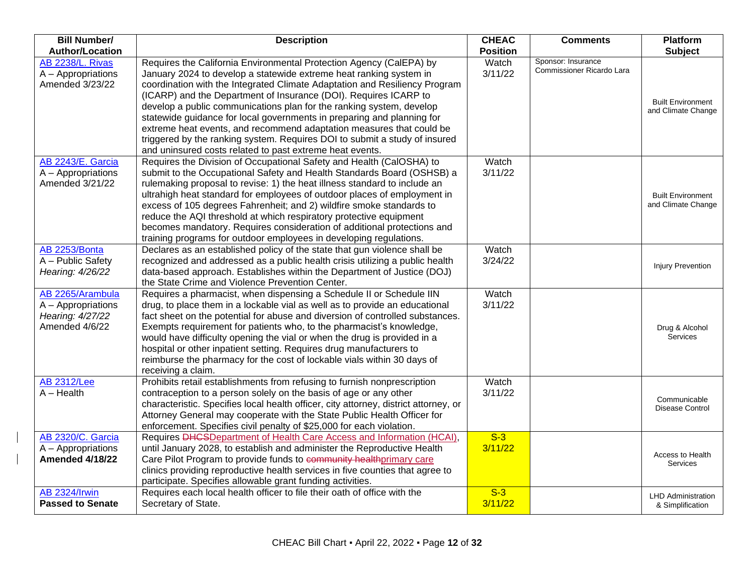| <b>Bill Number/</b>                                                          | <b>Description</b>                                                                                                                                                                                                                                                                                                                                                                                                                                                                                                                                                                                                                                              | <b>CHEAC</b>     | <b>Comments</b>                                 | Platform                                       |
|------------------------------------------------------------------------------|-----------------------------------------------------------------------------------------------------------------------------------------------------------------------------------------------------------------------------------------------------------------------------------------------------------------------------------------------------------------------------------------------------------------------------------------------------------------------------------------------------------------------------------------------------------------------------------------------------------------------------------------------------------------|------------------|-------------------------------------------------|------------------------------------------------|
| <b>Author/Location</b>                                                       |                                                                                                                                                                                                                                                                                                                                                                                                                                                                                                                                                                                                                                                                 | <b>Position</b>  |                                                 | <b>Subject</b>                                 |
| <b>AB 2238/L. Rivas</b><br>A - Appropriations<br>Amended 3/23/22             | Requires the California Environmental Protection Agency (CalEPA) by<br>January 2024 to develop a statewide extreme heat ranking system in<br>coordination with the Integrated Climate Adaptation and Resiliency Program<br>(ICARP) and the Department of Insurance (DOI). Requires ICARP to<br>develop a public communications plan for the ranking system, develop<br>statewide guidance for local governments in preparing and planning for<br>extreme heat events, and recommend adaptation measures that could be<br>triggered by the ranking system. Requires DOI to submit a study of insured<br>and uninsured costs related to past extreme heat events. | Watch<br>3/11/22 | Sponsor: Insurance<br>Commissioner Ricardo Lara | <b>Built Environment</b><br>and Climate Change |
| AB 2243/E. Garcia<br>A - Appropriations<br>Amended 3/21/22                   | Requires the Division of Occupational Safety and Health (CalOSHA) to<br>submit to the Occupational Safety and Health Standards Board (OSHSB) a<br>rulemaking proposal to revise: 1) the heat illness standard to include an<br>ultrahigh heat standard for employees of outdoor places of employment in<br>excess of 105 degrees Fahrenheit; and 2) wildfire smoke standards to<br>reduce the AQI threshold at which respiratory protective equipment<br>becomes mandatory. Requires consideration of additional protections and<br>training programs for outdoor employees in developing regulations.                                                          | Watch<br>3/11/22 |                                                 | <b>Built Environment</b><br>and Climate Change |
| AB 2253/Bonta<br>A - Public Safety<br>Hearing: 4/26/22                       | Declares as an established policy of the state that gun violence shall be<br>recognized and addressed as a public health crisis utilizing a public health<br>data-based approach. Establishes within the Department of Justice (DOJ)<br>the State Crime and Violence Prevention Center.                                                                                                                                                                                                                                                                                                                                                                         | Watch<br>3/24/22 |                                                 | <b>Injury Prevention</b>                       |
| AB 2265/Arambula<br>A - Appropriations<br>Hearing: 4/27/22<br>Amended 4/6/22 | Requires a pharmacist, when dispensing a Schedule II or Schedule IIN<br>drug, to place them in a lockable vial as well as to provide an educational<br>fact sheet on the potential for abuse and diversion of controlled substances.<br>Exempts requirement for patients who, to the pharmacist's knowledge,<br>would have difficulty opening the vial or when the drug is provided in a<br>hospital or other inpatient setting. Requires drug manufacturers to<br>reimburse the pharmacy for the cost of lockable vials within 30 days of<br>receiving a claim.                                                                                                | Watch<br>3/11/22 |                                                 | Drug & Alcohol<br>Services                     |
| <b>AB 2312/Lee</b><br>$A - Health$                                           | Prohibits retail establishments from refusing to furnish nonprescription<br>contraception to a person solely on the basis of age or any other<br>characteristic. Specifies local health officer, city attorney, district attorney, or<br>Attorney General may cooperate with the State Public Health Officer for<br>enforcement. Specifies civil penalty of \$25,000 for each violation.                                                                                                                                                                                                                                                                        | Watch<br>3/11/22 |                                                 | Communicable<br>Disease Control                |
| <b>AB 2320/C. Garcia</b><br>$A - Approx$<br><b>Amended 4/18/22</b>           | Requires <b>DHCSDepartment of Health Care Access and Information (HCAI)</b> ,<br>until January 2028, to establish and administer the Reproductive Health<br>Care Pilot Program to provide funds to community healthprimary care<br>clinics providing reproductive health services in five counties that agree to<br>participate. Specifies allowable grant funding activities.                                                                                                                                                                                                                                                                                  | $S-3$<br>3/11/22 |                                                 | Access to Health<br>Services                   |
| <b>AB 2324/Irwin</b><br><b>Passed to Senate</b>                              | Requires each local health officer to file their oath of office with the<br>Secretary of State.                                                                                                                                                                                                                                                                                                                                                                                                                                                                                                                                                                 | $S-3$<br>3/11/22 |                                                 | <b>LHD Administration</b><br>& Simplification  |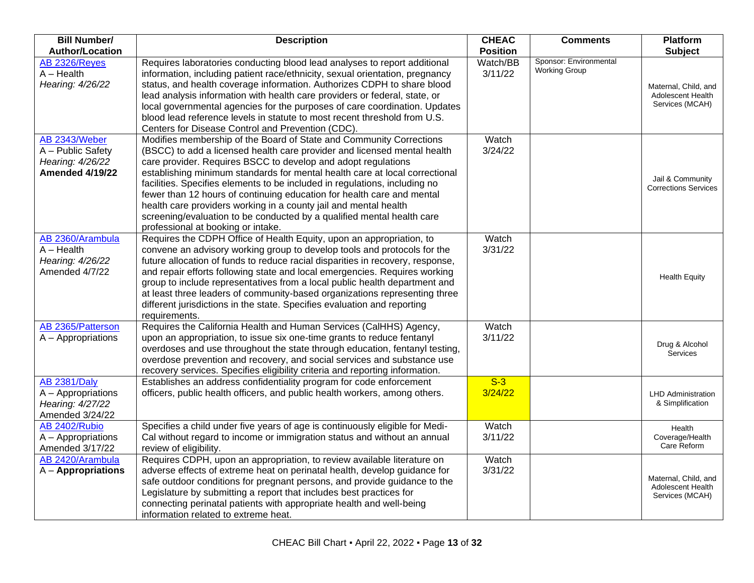| <b>Bill Number/</b>                                                              | <b>Description</b>                                                                                                                                                                                                                                                                                                                                                                                                                                                                                                                                                                                                                          | <b>CHEAC</b>        | <b>Comments</b>        | Platform                                                     |
|----------------------------------------------------------------------------------|---------------------------------------------------------------------------------------------------------------------------------------------------------------------------------------------------------------------------------------------------------------------------------------------------------------------------------------------------------------------------------------------------------------------------------------------------------------------------------------------------------------------------------------------------------------------------------------------------------------------------------------------|---------------------|------------------------|--------------------------------------------------------------|
| <b>Author/Location</b>                                                           |                                                                                                                                                                                                                                                                                                                                                                                                                                                                                                                                                                                                                                             | <b>Position</b>     | Sponsor: Environmental | <b>Subject</b>                                               |
| AB 2326/Reyes<br>$A - Health$<br>Hearing: 4/26/22                                | Requires laboratories conducting blood lead analyses to report additional<br>information, including patient race/ethnicity, sexual orientation, pregnancy<br>status, and health coverage information. Authorizes CDPH to share blood<br>lead analysis information with health care providers or federal, state, or<br>local governmental agencies for the purposes of care coordination. Updates                                                                                                                                                                                                                                            | Watch/BB<br>3/11/22 | <b>Working Group</b>   | Maternal, Child, and<br>Adolescent Health<br>Services (MCAH) |
|                                                                                  | blood lead reference levels in statute to most recent threshold from U.S.<br>Centers for Disease Control and Prevention (CDC).                                                                                                                                                                                                                                                                                                                                                                                                                                                                                                              |                     |                        |                                                              |
| AB 2343/Weber<br>A - Public Safety<br>Hearing: 4/26/22<br><b>Amended 4/19/22</b> | Modifies membership of the Board of State and Community Corrections<br>(BSCC) to add a licensed health care provider and licensed mental health<br>care provider. Requires BSCC to develop and adopt regulations<br>establishing minimum standards for mental health care at local correctional<br>facilities. Specifies elements to be included in regulations, including no<br>fewer than 12 hours of continuing education for health care and mental<br>health care providers working in a county jail and mental health<br>screening/evaluation to be conducted by a qualified mental health care<br>professional at booking or intake. | Watch<br>3/24/22    |                        | Jail & Community<br><b>Corrections Services</b>              |
| AB 2360/Arambula<br>$A - Health$<br>Hearing: 4/26/22<br>Amended 4/7/22           | Requires the CDPH Office of Health Equity, upon an appropriation, to<br>convene an advisory working group to develop tools and protocols for the<br>future allocation of funds to reduce racial disparities in recovery, response,<br>and repair efforts following state and local emergencies. Requires working<br>group to include representatives from a local public health department and<br>at least three leaders of community-based organizations representing three<br>different jurisdictions in the state. Specifies evaluation and reporting<br>requirements.                                                                   | Watch<br>3/31/22    |                        | <b>Health Equity</b>                                         |
| AB 2365/Patterson<br>A - Appropriations                                          | Requires the California Health and Human Services (CalHHS) Agency,<br>upon an appropriation, to issue six one-time grants to reduce fentanyl<br>overdoses and use throughout the state through education, fentanyl testing,<br>overdose prevention and recovery, and social services and substance use<br>recovery services. Specifies eligibility criteria and reporting information.                                                                                                                                                                                                                                                      | Watch<br>3/11/22    |                        | Drug & Alcohol<br>Services                                   |
| <b>AB 2381/Daly</b><br>A - Appropriations<br>Hearing: 4/27/22<br>Amended 3/24/22 | Establishes an address confidentiality program for code enforcement<br>officers, public health officers, and public health workers, among others.                                                                                                                                                                                                                                                                                                                                                                                                                                                                                           | $S-3$<br>3/24/22    |                        | <b>LHD Administration</b><br>& Simplification                |
| AB 2402/Rubio<br>A - Appropriations<br>Amended 3/17/22                           | Specifies a child under five years of age is continuously eligible for Medi-<br>Cal without regard to income or immigration status and without an annual<br>review of eligibility.                                                                                                                                                                                                                                                                                                                                                                                                                                                          | Watch<br>3/11/22    |                        | Health<br>Coverage/Health<br>Care Reform                     |
| AB 2420/Arambula<br>$A -$ Appropriations                                         | Requires CDPH, upon an appropriation, to review available literature on<br>adverse effects of extreme heat on perinatal health, develop guidance for<br>safe outdoor conditions for pregnant persons, and provide guidance to the<br>Legislature by submitting a report that includes best practices for<br>connecting perinatal patients with appropriate health and well-being<br>information related to extreme heat.                                                                                                                                                                                                                    | Watch<br>3/31/22    |                        | Maternal, Child, and<br>Adolescent Health<br>Services (MCAH) |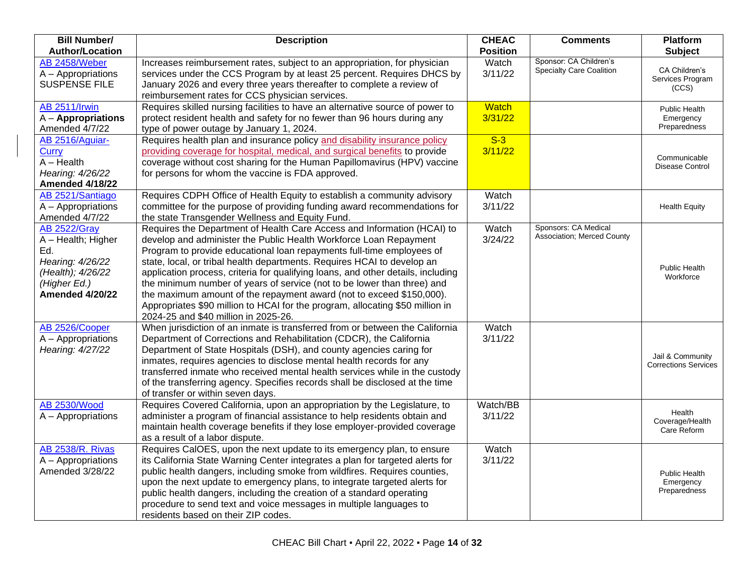| <b>Bill Number/</b>                                                                                                                 | <b>Description</b>                                                                                                                                                                                                                                                                                                                                                                                                                                                                                                                                                                                                                                               | <b>CHEAC</b>            | <b>Comments</b>                                           | <b>Platform</b>                                   |
|-------------------------------------------------------------------------------------------------------------------------------------|------------------------------------------------------------------------------------------------------------------------------------------------------------------------------------------------------------------------------------------------------------------------------------------------------------------------------------------------------------------------------------------------------------------------------------------------------------------------------------------------------------------------------------------------------------------------------------------------------------------------------------------------------------------|-------------------------|-----------------------------------------------------------|---------------------------------------------------|
| <b>Author/Location</b>                                                                                                              |                                                                                                                                                                                                                                                                                                                                                                                                                                                                                                                                                                                                                                                                  | <b>Position</b>         |                                                           | <b>Subject</b>                                    |
| AB 2458/Weber<br>A - Appropriations<br><b>SUSPENSE FILE</b>                                                                         | Increases reimbursement rates, subject to an appropriation, for physician<br>services under the CCS Program by at least 25 percent. Requires DHCS by<br>January 2026 and every three years thereafter to complete a review of<br>reimbursement rates for CCS physician services.                                                                                                                                                                                                                                                                                                                                                                                 | Watch<br>3/11/22        | Sponsor: CA Children's<br><b>Specialty Care Coalition</b> | CA Children's<br>Services Program<br>(CCS)        |
| <b>AB 2511/Irwin</b><br>A - Appropriations<br>Amended 4/7/22                                                                        | Requires skilled nursing facilities to have an alternative source of power to<br>protect resident health and safety for no fewer than 96 hours during any<br>type of power outage by January 1, 2024.                                                                                                                                                                                                                                                                                                                                                                                                                                                            | <b>Watch</b><br>3/31/22 |                                                           | Public Health<br>Emergency<br>Preparedness        |
| AB 2516/Aguiar-<br>Curry<br>$A - Health$<br>Hearing: 4/26/22<br><b>Amended 4/18/22</b>                                              | Requires health plan and insurance policy and disability insurance policy<br>providing coverage for hospital, medical, and surgical benefits to provide<br>coverage without cost sharing for the Human Papillomavirus (HPV) vaccine<br>for persons for whom the vaccine is FDA approved.                                                                                                                                                                                                                                                                                                                                                                         | $S-3$<br>3/11/22        |                                                           | Communicable<br>Disease Control                   |
| AB 2521/Santiago<br>A - Appropriations<br>Amended 4/7/22                                                                            | Requires CDPH Office of Health Equity to establish a community advisory<br>committee for the purpose of providing funding award recommendations for<br>the state Transgender Wellness and Equity Fund.                                                                                                                                                                                                                                                                                                                                                                                                                                                           | Watch<br>3/11/22        |                                                           | <b>Health Equity</b>                              |
| <b>AB 2522/Gray</b><br>A - Health; Higher<br>Ed.<br>Hearing: 4/26/22<br>(Health); 4/26/22<br>(Higher Ed.)<br><b>Amended 4/20/22</b> | Requires the Department of Health Care Access and Information (HCAI) to<br>develop and administer the Public Health Workforce Loan Repayment<br>Program to provide educational loan repayments full-time employees of<br>state, local, or tribal health departments. Requires HCAI to develop an<br>application process, criteria for qualifying loans, and other details, including<br>the minimum number of years of service (not to be lower than three) and<br>the maximum amount of the repayment award (not to exceed \$150,000).<br>Appropriates \$90 million to HCAI for the program, allocating \$50 million in<br>2024-25 and \$40 million in 2025-26. | Watch<br>3/24/22        | Sponsors: CA Medical<br>Association; Merced County        | Public Health<br>Workforce                        |
| AB 2526/Cooper<br>A - Appropriations<br>Hearing: 4/27/22                                                                            | When jurisdiction of an inmate is transferred from or between the California<br>Department of Corrections and Rehabilitation (CDCR), the California<br>Department of State Hospitals (DSH), and county agencies caring for<br>inmates, requires agencies to disclose mental health records for any<br>transferred inmate who received mental health services while in the custody<br>of the transferring agency. Specifies records shall be disclosed at the time<br>of transfer or within seven days.                                                                                                                                                           | Watch<br>3/11/22        |                                                           | Jail & Community<br><b>Corrections Services</b>   |
| <b>AB 2530/Wood</b><br>A - Appropriations                                                                                           | Requires Covered California, upon an appropriation by the Legislature, to<br>administer a program of financial assistance to help residents obtain and<br>maintain health coverage benefits if they lose employer-provided coverage<br>as a result of a labor dispute.                                                                                                                                                                                                                                                                                                                                                                                           | Watch/BB<br>3/11/22     |                                                           | Health<br>Coverage/Health<br>Care Reform          |
| <b>AB 2538/R. Rivas</b><br>A - Appropriations<br>Amended 3/28/22                                                                    | Requires CalOES, upon the next update to its emergency plan, to ensure<br>its California State Warning Center integrates a plan for targeted alerts for<br>public health dangers, including smoke from wildfires. Requires counties,<br>upon the next update to emergency plans, to integrate targeted alerts for<br>public health dangers, including the creation of a standard operating<br>procedure to send text and voice messages in multiple languages to<br>residents based on their ZIP codes.                                                                                                                                                          | Watch<br>3/11/22        |                                                           | <b>Public Health</b><br>Emergency<br>Preparedness |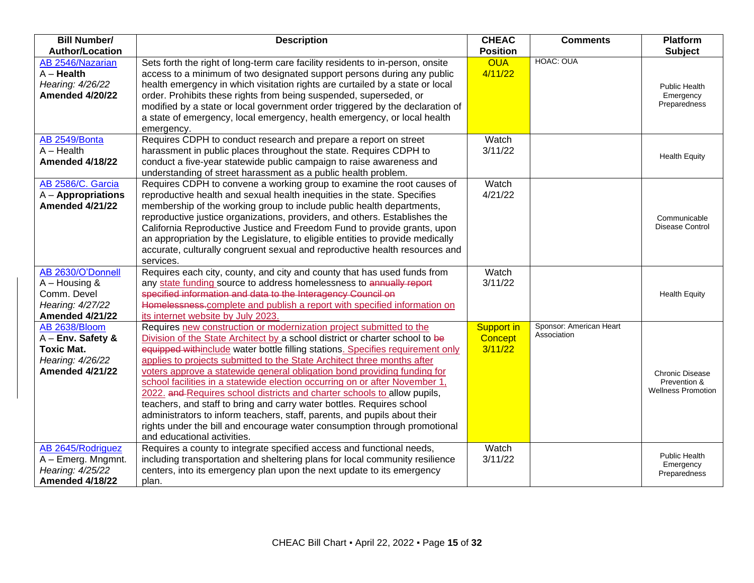| <b>Bill Number/</b><br><b>Author/Location</b>                                                           | <b>Description</b>                                                                                                                                                                                                                                                                                                                                                                                                                                                                                                                                                                                                                                                                                                                                                                                                        | <b>CHEAC</b><br><b>Position</b>         | <b>Comments</b>                        | <b>Platform</b><br><b>Subject</b>                                   |
|---------------------------------------------------------------------------------------------------------|---------------------------------------------------------------------------------------------------------------------------------------------------------------------------------------------------------------------------------------------------------------------------------------------------------------------------------------------------------------------------------------------------------------------------------------------------------------------------------------------------------------------------------------------------------------------------------------------------------------------------------------------------------------------------------------------------------------------------------------------------------------------------------------------------------------------------|-----------------------------------------|----------------------------------------|---------------------------------------------------------------------|
| AB 2546/Nazarian<br>$A -$ Health<br>Hearing: 4/26/22<br>Amended 4/20/22                                 | Sets forth the right of long-term care facility residents to in-person, onsite<br>access to a minimum of two designated support persons during any public<br>health emergency in which visitation rights are curtailed by a state or local<br>order. Prohibits these rights from being suspended, superseded, or<br>modified by a state or local government order triggered by the declaration of<br>a state of emergency, local emergency, health emergency, or local health<br>emergency.                                                                                                                                                                                                                                                                                                                               | <b>OUA</b><br>4/11/22                   | HOAC: OUA                              | <b>Public Health</b><br>Emergency<br>Preparedness                   |
| AB 2549/Bonta<br>$A - Health$<br><b>Amended 4/18/22</b>                                                 | Requires CDPH to conduct research and prepare a report on street<br>harassment in public places throughout the state. Requires CDPH to<br>conduct a five-year statewide public campaign to raise awareness and<br>understanding of street harassment as a public health problem.                                                                                                                                                                                                                                                                                                                                                                                                                                                                                                                                          | Watch<br>3/11/22                        |                                        | <b>Health Equity</b>                                                |
| AB 2586/C. Garcia<br>$A -$ Appropriations<br><b>Amended 4/21/22</b>                                     | Requires CDPH to convene a working group to examine the root causes of<br>reproductive health and sexual health inequities in the state. Specifies<br>membership of the working group to include public health departments,<br>reproductive justice organizations, providers, and others. Establishes the<br>California Reproductive Justice and Freedom Fund to provide grants, upon<br>an appropriation by the Legislature, to eligible entities to provide medically<br>accurate, culturally congruent sexual and reproductive health resources and<br>services.                                                                                                                                                                                                                                                       | Watch<br>4/21/22                        |                                        | Communicable<br><b>Disease Control</b>                              |
| AB 2630/O'Donnell<br>$A - Housing$ &<br>Comm. Devel<br>Hearing: 4/27/22<br>Amended 4/21/22              | Requires each city, county, and city and county that has used funds from<br>any state funding source to address homelessness to annually report<br>specified information and data to the Interagency Council on<br>Homelessness.complete and publish a report with specified information on<br>its internet website by July 2023.                                                                                                                                                                                                                                                                                                                                                                                                                                                                                         | Watch<br>3/11/22                        |                                        | <b>Health Equity</b>                                                |
| AB 2638/Bloom<br>$A$ – Env. Safety &<br><b>Toxic Mat.</b><br>Hearing: 4/26/22<br><b>Amended 4/21/22</b> | Requires new construction or modernization project submitted to the<br>Division of the State Architect by a school district or charter school to be<br>equipped withinclude water bottle filling stations. Specifies requirement only<br>applies to projects submitted to the State Architect three months after<br>voters approve a statewide general obligation bond providing funding for<br>school facilities in a statewide election occurring on or after November 1,<br>2022. and Requires school districts and charter schools to allow pupils,<br>teachers, and staff to bring and carry water bottles. Requires school<br>administrators to inform teachers, staff, parents, and pupils about their<br>rights under the bill and encourage water consumption through promotional<br>and educational activities. | <b>Support in</b><br>Concept<br>3/11/22 | Sponsor: American Heart<br>Association | <b>Chronic Disease</b><br>Prevention &<br><b>Wellness Promotion</b> |
| AB 2645/Rodriguez<br>A - Emerg. Mngmnt.<br>Hearing: 4/25/22<br><b>Amended 4/18/22</b>                   | Requires a county to integrate specified access and functional needs,<br>including transportation and sheltering plans for local community resilience<br>centers, into its emergency plan upon the next update to its emergency<br>plan.                                                                                                                                                                                                                                                                                                                                                                                                                                                                                                                                                                                  | Watch<br>3/11/22                        |                                        | <b>Public Health</b><br>Emergency<br>Preparedness                   |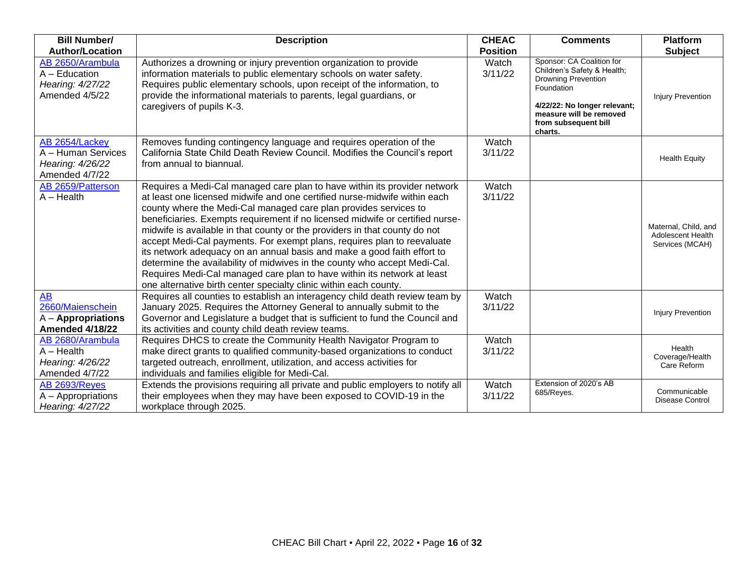| <b>Bill Number/</b>                                                             | <b>Description</b>                                                                                                                                                                                                                                                                                                                                                                                                                                                                                                                                                                                                                                                                                                                                                           | <b>CHEAC</b>     | <b>Comments</b>                                                                                                                                                                                    | <b>Platform</b>                                              |
|---------------------------------------------------------------------------------|------------------------------------------------------------------------------------------------------------------------------------------------------------------------------------------------------------------------------------------------------------------------------------------------------------------------------------------------------------------------------------------------------------------------------------------------------------------------------------------------------------------------------------------------------------------------------------------------------------------------------------------------------------------------------------------------------------------------------------------------------------------------------|------------------|----------------------------------------------------------------------------------------------------------------------------------------------------------------------------------------------------|--------------------------------------------------------------|
| <b>Author/Location</b>                                                          |                                                                                                                                                                                                                                                                                                                                                                                                                                                                                                                                                                                                                                                                                                                                                                              | <b>Position</b>  |                                                                                                                                                                                                    | <b>Subject</b>                                               |
| AB 2650/Arambula<br>A - Education<br>Hearing: 4/27/22<br>Amended 4/5/22         | Authorizes a drowning or injury prevention organization to provide<br>information materials to public elementary schools on water safety.<br>Requires public elementary schools, upon receipt of the information, to<br>provide the informational materials to parents, legal guardians, or<br>caregivers of pupils K-3.                                                                                                                                                                                                                                                                                                                                                                                                                                                     | Watch<br>3/11/22 | Sponsor: CA Coalition for<br>Children's Safety & Health;<br><b>Drowning Prevention</b><br>Foundation<br>4/22/22: No longer relevant;<br>measure will be removed<br>from subsequent bill<br>charts. | <b>Injury Prevention</b>                                     |
| AB 2654/Lackey<br>A - Human Services<br>Hearing: 4/26/22<br>Amended 4/7/22      | Removes funding contingency language and requires operation of the<br>California State Child Death Review Council. Modifies the Council's report<br>from annual to biannual.                                                                                                                                                                                                                                                                                                                                                                                                                                                                                                                                                                                                 | Watch<br>3/11/22 |                                                                                                                                                                                                    | <b>Health Equity</b>                                         |
| AB 2659/Patterson<br>$A - Health$                                               | Requires a Medi-Cal managed care plan to have within its provider network<br>at least one licensed midwife and one certified nurse-midwife within each<br>county where the Medi-Cal managed care plan provides services to<br>beneficiaries. Exempts requirement if no licensed midwife or certified nurse-<br>midwife is available in that county or the providers in that county do not<br>accept Medi-Cal payments. For exempt plans, requires plan to reevaluate<br>its network adequacy on an annual basis and make a good faith effort to<br>determine the availability of midwives in the county who accept Medi-Cal.<br>Requires Medi-Cal managed care plan to have within its network at least<br>one alternative birth center specialty clinic within each county. | Watch<br>3/11/22 |                                                                                                                                                                                                    | Maternal, Child, and<br>Adolescent Health<br>Services (MCAH) |
| <b>AB</b><br>2660/Maienschein<br>$A -$ Appropriations<br><b>Amended 4/18/22</b> | Requires all counties to establish an interagency child death review team by<br>January 2025. Requires the Attorney General to annually submit to the<br>Governor and Legislature a budget that is sufficient to fund the Council and<br>its activities and county child death review teams.                                                                                                                                                                                                                                                                                                                                                                                                                                                                                 | Watch<br>3/11/22 |                                                                                                                                                                                                    | <b>Injury Prevention</b>                                     |
| AB 2680/Arambula<br>$A - Health$<br>Hearing: 4/26/22<br>Amended 4/7/22          | Requires DHCS to create the Community Health Navigator Program to<br>make direct grants to qualified community-based organizations to conduct<br>targeted outreach, enrollment, utilization, and access activities for<br>individuals and families eligible for Medi-Cal.                                                                                                                                                                                                                                                                                                                                                                                                                                                                                                    | Watch<br>3/11/22 |                                                                                                                                                                                                    | Health<br>Coverage/Health<br>Care Reform                     |
| AB 2693/Reyes<br>A - Appropriations<br>Hearing: 4/27/22                         | Extends the provisions requiring all private and public employers to notify all<br>their employees when they may have been exposed to COVID-19 in the<br>workplace through 2025.                                                                                                                                                                                                                                                                                                                                                                                                                                                                                                                                                                                             | Watch<br>3/11/22 | Extension of 2020's AB<br>685/Reyes.                                                                                                                                                               | Communicable<br><b>Disease Control</b>                       |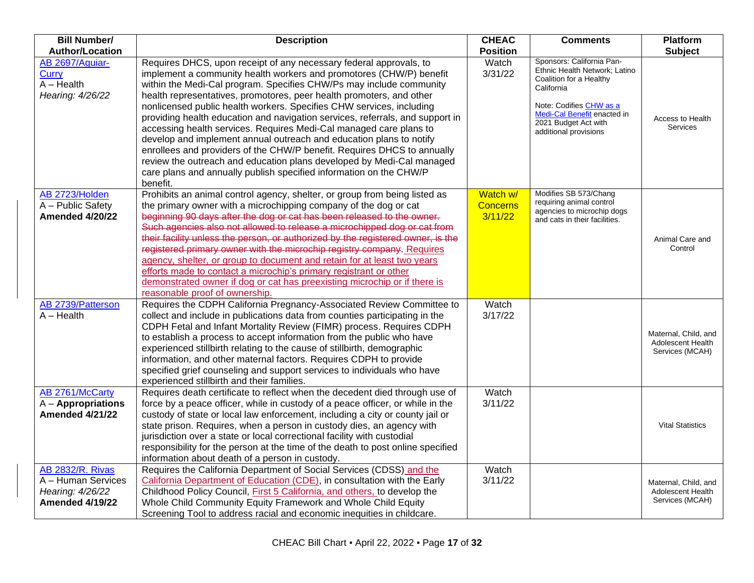| <b>Bill Number/</b>                                          | <b>Description</b>                                                                                                                                                                                                                                                                                                                                                                                                                                                                                                                                                                                                                                                                                                                                                                                                                   | <b>CHEAC</b>     | <b>Comments</b>                                                                                                                                                                                                | <b>Platform</b>                      |
|--------------------------------------------------------------|--------------------------------------------------------------------------------------------------------------------------------------------------------------------------------------------------------------------------------------------------------------------------------------------------------------------------------------------------------------------------------------------------------------------------------------------------------------------------------------------------------------------------------------------------------------------------------------------------------------------------------------------------------------------------------------------------------------------------------------------------------------------------------------------------------------------------------------|------------------|----------------------------------------------------------------------------------------------------------------------------------------------------------------------------------------------------------------|--------------------------------------|
| <b>Author/Location</b>                                       |                                                                                                                                                                                                                                                                                                                                                                                                                                                                                                                                                                                                                                                                                                                                                                                                                                      | <b>Position</b>  |                                                                                                                                                                                                                | Subject                              |
| AB 2697/Aguiar-<br>Curry<br>$A - Health$<br>Hearing: 4/26/22 | Requires DHCS, upon receipt of any necessary federal approvals, to<br>implement a community health workers and promotores (CHW/P) benefit<br>within the Medi-Cal program. Specifies CHW/Ps may include community<br>health representatives, promotores, peer health promoters, and other<br>nonlicensed public health workers. Specifies CHW services, including<br>providing health education and navigation services, referrals, and support in<br>accessing health services. Requires Medi-Cal managed care plans to<br>develop and implement annual outreach and education plans to notify<br>enrollees and providers of the CHW/P benefit. Requires DHCS to annually<br>review the outreach and education plans developed by Medi-Cal managed<br>care plans and annually publish specified information on the CHW/P<br>benefit. | Watch<br>3/31/22 | Sponsors: California Pan-<br>Ethnic Health Network; Latino<br>Coalition for a Healthy<br>California<br>Note: Codifies CHW as a<br>Medi-Cal Benefit enacted in<br>2021 Budget Act with<br>additional provisions | Access to Health<br><b>Services</b>  |
| AB 2723/Holden                                               | Prohibits an animal control agency, shelter, or group from being listed as                                                                                                                                                                                                                                                                                                                                                                                                                                                                                                                                                                                                                                                                                                                                                           | Watch w/         | Modifies SB 573/Chang                                                                                                                                                                                          |                                      |
| A - Public Safety                                            | the primary owner with a microchipping company of the dog or cat                                                                                                                                                                                                                                                                                                                                                                                                                                                                                                                                                                                                                                                                                                                                                                     | <b>Concerns</b>  | requiring animal control<br>agencies to microchip dogs                                                                                                                                                         |                                      |
| Amended 4/20/22                                              | beginning 90 days after the dog or cat has been released to the owner.<br>Such agencies also not allowed to release a microchipped dog or cat from                                                                                                                                                                                                                                                                                                                                                                                                                                                                                                                                                                                                                                                                                   | 3/11/22          | and cats in their facilities.                                                                                                                                                                                  |                                      |
|                                                              | their facility unless the person, or authorized by the registered owner, is the                                                                                                                                                                                                                                                                                                                                                                                                                                                                                                                                                                                                                                                                                                                                                      |                  |                                                                                                                                                                                                                | Animal Care and                      |
|                                                              | registered primary owner with the microchip registry company. Requires                                                                                                                                                                                                                                                                                                                                                                                                                                                                                                                                                                                                                                                                                                                                                               |                  |                                                                                                                                                                                                                | Control                              |
|                                                              | agency, shelter, or group to document and retain for at least two years                                                                                                                                                                                                                                                                                                                                                                                                                                                                                                                                                                                                                                                                                                                                                              |                  |                                                                                                                                                                                                                |                                      |
|                                                              | efforts made to contact a microchip's primary registrant or other                                                                                                                                                                                                                                                                                                                                                                                                                                                                                                                                                                                                                                                                                                                                                                    |                  |                                                                                                                                                                                                                |                                      |
|                                                              | demonstrated owner if dog or cat has preexisting microchip or if there is                                                                                                                                                                                                                                                                                                                                                                                                                                                                                                                                                                                                                                                                                                                                                            |                  |                                                                                                                                                                                                                |                                      |
|                                                              | reasonable proof of ownership.                                                                                                                                                                                                                                                                                                                                                                                                                                                                                                                                                                                                                                                                                                                                                                                                       |                  |                                                                                                                                                                                                                |                                      |
| AB 2739/Patterson<br>$A - Health$                            | Requires the CDPH California Pregnancy-Associated Review Committee to<br>collect and include in publications data from counties participating in the                                                                                                                                                                                                                                                                                                                                                                                                                                                                                                                                                                                                                                                                                 | Watch<br>3/17/22 |                                                                                                                                                                                                                |                                      |
|                                                              | CDPH Fetal and Infant Mortality Review (FIMR) process. Requires CDPH                                                                                                                                                                                                                                                                                                                                                                                                                                                                                                                                                                                                                                                                                                                                                                 |                  |                                                                                                                                                                                                                |                                      |
|                                                              | to establish a process to accept information from the public who have                                                                                                                                                                                                                                                                                                                                                                                                                                                                                                                                                                                                                                                                                                                                                                |                  |                                                                                                                                                                                                                | Maternal, Child, and                 |
|                                                              | experienced stillbirth relating to the cause of stillbirth, demographic                                                                                                                                                                                                                                                                                                                                                                                                                                                                                                                                                                                                                                                                                                                                                              |                  |                                                                                                                                                                                                                | Adolescent Health<br>Services (MCAH) |
|                                                              | information, and other maternal factors. Requires CDPH to provide                                                                                                                                                                                                                                                                                                                                                                                                                                                                                                                                                                                                                                                                                                                                                                    |                  |                                                                                                                                                                                                                |                                      |
|                                                              | specified grief counseling and support services to individuals who have                                                                                                                                                                                                                                                                                                                                                                                                                                                                                                                                                                                                                                                                                                                                                              |                  |                                                                                                                                                                                                                |                                      |
|                                                              | experienced stillbirth and their families.                                                                                                                                                                                                                                                                                                                                                                                                                                                                                                                                                                                                                                                                                                                                                                                           |                  |                                                                                                                                                                                                                |                                      |
| AB 2761/McCarty                                              | Requires death certificate to reflect when the decedent died through use of                                                                                                                                                                                                                                                                                                                                                                                                                                                                                                                                                                                                                                                                                                                                                          | Watch            |                                                                                                                                                                                                                |                                      |
| $A -$ Appropriations<br><b>Amended 4/21/22</b>               | force by a peace officer, while in custody of a peace officer, or while in the                                                                                                                                                                                                                                                                                                                                                                                                                                                                                                                                                                                                                                                                                                                                                       | 3/11/22          |                                                                                                                                                                                                                |                                      |
|                                                              | custody of state or local law enforcement, including a city or county jail or<br>state prison. Requires, when a person in custody dies, an agency with                                                                                                                                                                                                                                                                                                                                                                                                                                                                                                                                                                                                                                                                               |                  |                                                                                                                                                                                                                | <b>Vital Statistics</b>              |
|                                                              | jurisdiction over a state or local correctional facility with custodial                                                                                                                                                                                                                                                                                                                                                                                                                                                                                                                                                                                                                                                                                                                                                              |                  |                                                                                                                                                                                                                |                                      |
|                                                              | responsibility for the person at the time of the death to post online specified                                                                                                                                                                                                                                                                                                                                                                                                                                                                                                                                                                                                                                                                                                                                                      |                  |                                                                                                                                                                                                                |                                      |
|                                                              | information about death of a person in custody.                                                                                                                                                                                                                                                                                                                                                                                                                                                                                                                                                                                                                                                                                                                                                                                      |                  |                                                                                                                                                                                                                |                                      |
| <b>AB 2832/R. Rivas</b>                                      | Requires the California Department of Social Services (CDSS) and the                                                                                                                                                                                                                                                                                                                                                                                                                                                                                                                                                                                                                                                                                                                                                                 | Watch            |                                                                                                                                                                                                                |                                      |
| A - Human Services                                           | California Department of Education (CDE), in consultation with the Early                                                                                                                                                                                                                                                                                                                                                                                                                                                                                                                                                                                                                                                                                                                                                             | 3/11/22          |                                                                                                                                                                                                                | Maternal, Child, and                 |
| Hearing: 4/26/22                                             | Childhood Policy Council, First 5 California, and others, to develop the                                                                                                                                                                                                                                                                                                                                                                                                                                                                                                                                                                                                                                                                                                                                                             |                  |                                                                                                                                                                                                                | Adolescent Health                    |
| <b>Amended 4/19/22</b>                                       | Whole Child Community Equity Framework and Whole Child Equity                                                                                                                                                                                                                                                                                                                                                                                                                                                                                                                                                                                                                                                                                                                                                                        |                  |                                                                                                                                                                                                                | Services (MCAH)                      |
|                                                              | Screening Tool to address racial and economic inequities in childcare.                                                                                                                                                                                                                                                                                                                                                                                                                                                                                                                                                                                                                                                                                                                                                               |                  |                                                                                                                                                                                                                |                                      |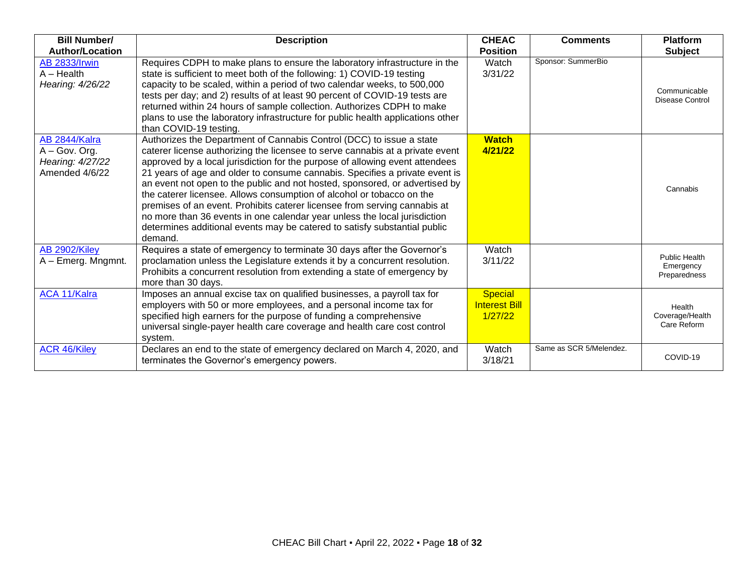| <b>Bill Number/</b>                                                  | <b>Description</b>                                                                                                                                                                                                                                                                                                                                                                                                                                                                                                                                                                                                                                                                                                             | <b>CHEAC</b>                                      | <b>Comments</b>         | <b>Platform</b>                            |
|----------------------------------------------------------------------|--------------------------------------------------------------------------------------------------------------------------------------------------------------------------------------------------------------------------------------------------------------------------------------------------------------------------------------------------------------------------------------------------------------------------------------------------------------------------------------------------------------------------------------------------------------------------------------------------------------------------------------------------------------------------------------------------------------------------------|---------------------------------------------------|-------------------------|--------------------------------------------|
| <b>Author/Location</b>                                               |                                                                                                                                                                                                                                                                                                                                                                                                                                                                                                                                                                                                                                                                                                                                | <b>Position</b>                                   |                         | <b>Subject</b>                             |
| <b>AB 2833/Irwin</b><br>$A - Health$<br>Hearing: 4/26/22             | Requires CDPH to make plans to ensure the laboratory infrastructure in the<br>state is sufficient to meet both of the following: 1) COVID-19 testing<br>capacity to be scaled, within a period of two calendar weeks, to 500,000<br>tests per day; and 2) results of at least 90 percent of COVID-19 tests are<br>returned within 24 hours of sample collection. Authorizes CDPH to make<br>plans to use the laboratory infrastructure for public health applications other<br>than COVID-19 testing.                                                                                                                                                                                                                          | Watch<br>3/31/22                                  | Sponsor: SummerBio      | Communicable<br><b>Disease Control</b>     |
| AB 2844/Kalra<br>A - Gov. Org.<br>Hearing: 4/27/22<br>Amended 4/6/22 | Authorizes the Department of Cannabis Control (DCC) to issue a state<br>caterer license authorizing the licensee to serve cannabis at a private event<br>approved by a local jurisdiction for the purpose of allowing event attendees<br>21 years of age and older to consume cannabis. Specifies a private event is<br>an event not open to the public and not hosted, sponsored, or advertised by<br>the caterer licensee. Allows consumption of alcohol or tobacco on the<br>premises of an event. Prohibits caterer licensee from serving cannabis at<br>no more than 36 events in one calendar year unless the local jurisdiction<br>determines additional events may be catered to satisfy substantial public<br>demand. | <b>Watch</b><br>4/21/22                           |                         | Cannabis                                   |
| AB 2902/Kiley<br>A - Emerg. Mngmnt.                                  | Requires a state of emergency to terminate 30 days after the Governor's<br>proclamation unless the Legislature extends it by a concurrent resolution.<br>Prohibits a concurrent resolution from extending a state of emergency by<br>more than 30 days.                                                                                                                                                                                                                                                                                                                                                                                                                                                                        | Watch<br>3/11/22                                  |                         | Public Health<br>Emergency<br>Preparedness |
| <b>ACA 11/Kalra</b>                                                  | Imposes an annual excise tax on qualified businesses, a payroll tax for<br>employers with 50 or more employees, and a personal income tax for<br>specified high earners for the purpose of funding a comprehensive<br>universal single-payer health care coverage and health care cost control<br>system.                                                                                                                                                                                                                                                                                                                                                                                                                      | <b>Special</b><br><b>Interest Bill</b><br>1/27/22 |                         | Health<br>Coverage/Health<br>Care Reform   |
| <b>ACR 46/Kiley</b>                                                  | Declares an end to the state of emergency declared on March 4, 2020, and<br>terminates the Governor's emergency powers.                                                                                                                                                                                                                                                                                                                                                                                                                                                                                                                                                                                                        | Watch<br>3/18/21                                  | Same as SCR 5/Melendez. | COVID-19                                   |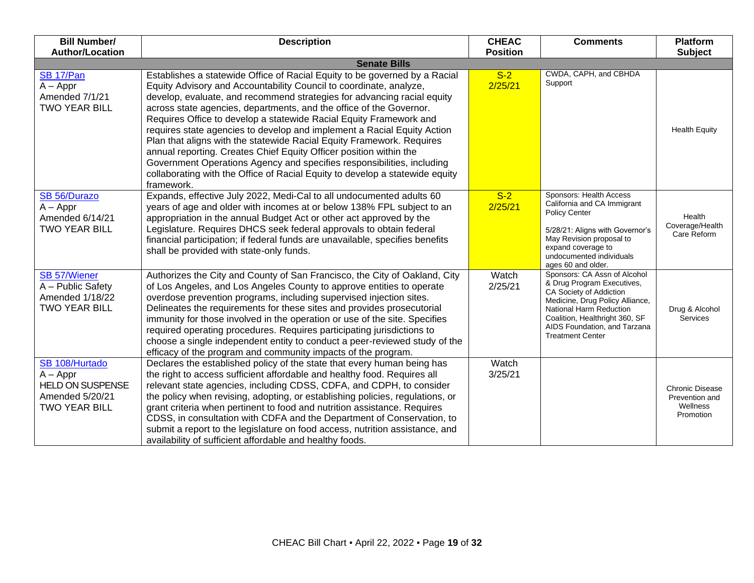| <b>Bill Number/</b>                                                                                | <b>Description</b>                                                                                                                                                                                                                                                                                                                                                                                                                                                                                                                                                                                                                                                                                                                                                         | <b>CHEAC</b>     | <b>Comments</b>                                                                                                                                                                                                                                  | <b>Platform</b>                                                   |
|----------------------------------------------------------------------------------------------------|----------------------------------------------------------------------------------------------------------------------------------------------------------------------------------------------------------------------------------------------------------------------------------------------------------------------------------------------------------------------------------------------------------------------------------------------------------------------------------------------------------------------------------------------------------------------------------------------------------------------------------------------------------------------------------------------------------------------------------------------------------------------------|------------------|--------------------------------------------------------------------------------------------------------------------------------------------------------------------------------------------------------------------------------------------------|-------------------------------------------------------------------|
| <b>Author/Location</b>                                                                             | <b>Senate Bills</b>                                                                                                                                                                                                                                                                                                                                                                                                                                                                                                                                                                                                                                                                                                                                                        | <b>Position</b>  |                                                                                                                                                                                                                                                  | <b>Subject</b>                                                    |
| SB 17/Pan<br>$A - Appr$<br>Amended 7/1/21<br><b>TWO YEAR BILL</b>                                  | Establishes a statewide Office of Racial Equity to be governed by a Racial<br>Equity Advisory and Accountability Council to coordinate, analyze,<br>develop, evaluate, and recommend strategies for advancing racial equity<br>across state agencies, departments, and the office of the Governor.<br>Requires Office to develop a statewide Racial Equity Framework and<br>requires state agencies to develop and implement a Racial Equity Action<br>Plan that aligns with the statewide Racial Equity Framework. Requires<br>annual reporting. Creates Chief Equity Officer position within the<br>Government Operations Agency and specifies responsibilities, including<br>collaborating with the Office of Racial Equity to develop a statewide equity<br>framework. | $S-2$<br>2/25/21 | CWDA, CAPH, and CBHDA<br>Support                                                                                                                                                                                                                 | <b>Health Equity</b>                                              |
| SB 56/Durazo<br>$A - Appr$<br>Amended 6/14/21<br><b>TWO YEAR BILL</b>                              | Expands, effective July 2022, Medi-Cal to all undocumented adults 60<br>years of age and older with incomes at or below 138% FPL subject to an<br>appropriation in the annual Budget Act or other act approved by the<br>Legislature. Requires DHCS seek federal approvals to obtain federal<br>financial participation; if federal funds are unavailable, specifies benefits<br>shall be provided with state-only funds.                                                                                                                                                                                                                                                                                                                                                  | $S-2$<br>2/25/21 | Sponsors: Health Access<br>California and CA Immigrant<br><b>Policy Center</b><br>5/28/21: Aligns with Governor's<br>May Revision proposal to<br>expand coverage to<br>undocumented individuals<br>ages 60 and older.                            | Health<br>Coverage/Health<br>Care Reform                          |
| <b>SB 57/Wiener</b><br>A - Public Safety<br>Amended 1/18/22<br><b>TWO YEAR BILL</b>                | Authorizes the City and County of San Francisco, the City of Oakland, City<br>of Los Angeles, and Los Angeles County to approve entities to operate<br>overdose prevention programs, including supervised injection sites.<br>Delineates the requirements for these sites and provides prosecutorial<br>immunity for those involved in the operation or use of the site. Specifies<br>required operating procedures. Requires participating jurisdictions to<br>choose a single independent entity to conduct a peer-reviewed study of the<br>efficacy of the program and community impacts of the program.                                                                                                                                                                | Watch<br>2/25/21 | Sponsors: CA Assn of Alcohol<br>& Drug Program Executives,<br>CA Society of Addiction<br>Medicine, Drug Policy Alliance,<br>National Harm Reduction<br>Coalition, Healthright 360, SF<br>AIDS Foundation, and Tarzana<br><b>Treatment Center</b> | Drug & Alcohol<br><b>Services</b>                                 |
| SB 108/Hurtado<br>$A - Appr$<br><b>HELD ON SUSPENSE</b><br>Amended 5/20/21<br><b>TWO YEAR BILL</b> | Declares the established policy of the state that every human being has<br>the right to access sufficient affordable and healthy food. Requires all<br>relevant state agencies, including CDSS, CDFA, and CDPH, to consider<br>the policy when revising, adopting, or establishing policies, regulations, or<br>grant criteria when pertinent to food and nutrition assistance. Requires<br>CDSS, in consultation with CDFA and the Department of Conservation, to<br>submit a report to the legislature on food access, nutrition assistance, and<br>availability of sufficient affordable and healthy foods.                                                                                                                                                             | Watch<br>3/25/21 |                                                                                                                                                                                                                                                  | <b>Chronic Disease</b><br>Prevention and<br>Wellness<br>Promotion |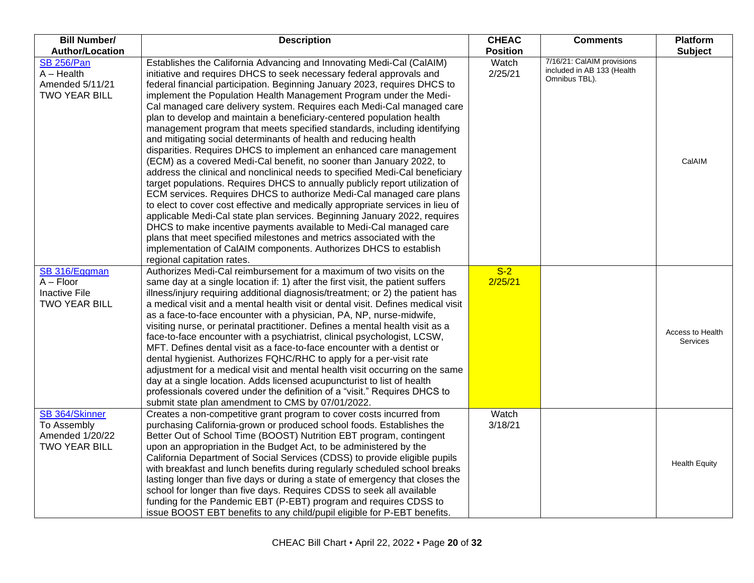| <b>Bill Number/</b>                                                          | <b>Description</b>                                                                                                                                                                                                                                                                                                                                                                                                                                                                                                                                                                                                                                                                                                                                                                                                                                                                                                                                                                                                                                                                                                                                                                                                                                                                                                                                                                                        | <b>CHEAC</b>     | <b>Comments</b>                                                           | Platform                            |
|------------------------------------------------------------------------------|-----------------------------------------------------------------------------------------------------------------------------------------------------------------------------------------------------------------------------------------------------------------------------------------------------------------------------------------------------------------------------------------------------------------------------------------------------------------------------------------------------------------------------------------------------------------------------------------------------------------------------------------------------------------------------------------------------------------------------------------------------------------------------------------------------------------------------------------------------------------------------------------------------------------------------------------------------------------------------------------------------------------------------------------------------------------------------------------------------------------------------------------------------------------------------------------------------------------------------------------------------------------------------------------------------------------------------------------------------------------------------------------------------------|------------------|---------------------------------------------------------------------------|-------------------------------------|
| <b>Author/Location</b>                                                       |                                                                                                                                                                                                                                                                                                                                                                                                                                                                                                                                                                                                                                                                                                                                                                                                                                                                                                                                                                                                                                                                                                                                                                                                                                                                                                                                                                                                           | <b>Position</b>  |                                                                           | <b>Subject</b>                      |
| <b>SB 256/Pan</b><br>$A - Health$<br>Amended 5/11/21<br><b>TWO YEAR BILL</b> | Establishes the California Advancing and Innovating Medi-Cal (CalAIM)<br>initiative and requires DHCS to seek necessary federal approvals and<br>federal financial participation. Beginning January 2023, requires DHCS to<br>implement the Population Health Management Program under the Medi-<br>Cal managed care delivery system. Requires each Medi-Cal managed care<br>plan to develop and maintain a beneficiary-centered population health<br>management program that meets specified standards, including identifying<br>and mitigating social determinants of health and reducing health<br>disparities. Requires DHCS to implement an enhanced care management<br>(ECM) as a covered Medi-Cal benefit, no sooner than January 2022, to<br>address the clinical and nonclinical needs to specified Medi-Cal beneficiary<br>target populations. Requires DHCS to annually publicly report utilization of<br>ECM services. Requires DHCS to authorize Medi-Cal managed care plans<br>to elect to cover cost effective and medically appropriate services in lieu of<br>applicable Medi-Cal state plan services. Beginning January 2022, requires<br>DHCS to make incentive payments available to Medi-Cal managed care<br>plans that meet specified milestones and metrics associated with the<br>implementation of CaIAIM components. Authorizes DHCS to establish<br>regional capitation rates. | Watch<br>2/25/21 | 7/16/21: CalAIM provisions<br>included in AB 133 (Health<br>Omnibus TBL). | CalAIM                              |
| SB 316/Eggman<br>$A - Floor$<br><b>Inactive File</b><br><b>TWO YEAR BILL</b> | Authorizes Medi-Cal reimbursement for a maximum of two visits on the<br>same day at a single location if: 1) after the first visit, the patient suffers<br>illness/injury requiring additional diagnosis/treatment; or 2) the patient has<br>a medical visit and a mental health visit or dental visit. Defines medical visit<br>as a face-to-face encounter with a physician, PA, NP, nurse-midwife,<br>visiting nurse, or perinatal practitioner. Defines a mental health visit as a<br>face-to-face encounter with a psychiatrist, clinical psychologist, LCSW,<br>MFT. Defines dental visit as a face-to-face encounter with a dentist or<br>dental hygienist. Authorizes FQHC/RHC to apply for a per-visit rate<br>adjustment for a medical visit and mental health visit occurring on the same<br>day at a single location. Adds licensed acupuncturist to list of health<br>professionals covered under the definition of a "visit." Requires DHCS to<br>submit state plan amendment to CMS by 07/01/2022.                                                                                                                                                                                                                                                                                                                                                                                         | $S-2$<br>2/25/21 |                                                                           | Access to Health<br><b>Services</b> |
| SB 364/Skinner<br>To Assembly<br>Amended 1/20/22<br><b>TWO YEAR BILL</b>     | Creates a non-competitive grant program to cover costs incurred from<br>purchasing California-grown or produced school foods. Establishes the<br>Better Out of School Time (BOOST) Nutrition EBT program, contingent<br>upon an appropriation in the Budget Act, to be administered by the<br>California Department of Social Services (CDSS) to provide eligible pupils<br>with breakfast and lunch benefits during regularly scheduled school breaks<br>lasting longer than five days or during a state of emergency that closes the<br>school for longer than five days. Requires CDSS to seek all available<br>funding for the Pandemic EBT (P-EBT) program and requires CDSS to<br>issue BOOST EBT benefits to any child/pupil eligible for P-EBT benefits.                                                                                                                                                                                                                                                                                                                                                                                                                                                                                                                                                                                                                                          | Watch<br>3/18/21 |                                                                           | <b>Health Equity</b>                |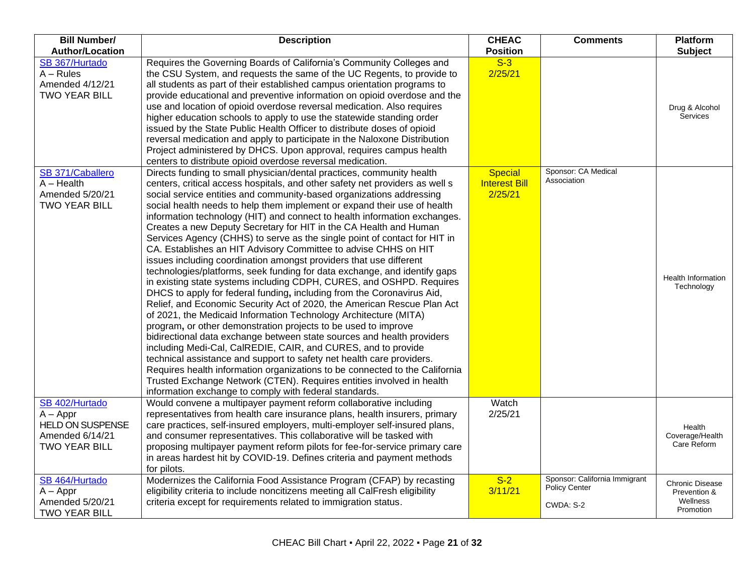| <b>Bill Number/</b>                                                                                          | <b>Description</b>                                                                                                                                                                                                                                                                                                                                                                                                                                                                                                                                                                                                                                                                                                                                                                                                                                                                                                                                                                                                                                                                                                                                                                                                                                                                                                                                                                                             | <b>CHEAC</b>                                               | <b>Comments</b>                                                    | <b>Platform</b>                                                 |
|--------------------------------------------------------------------------------------------------------------|----------------------------------------------------------------------------------------------------------------------------------------------------------------------------------------------------------------------------------------------------------------------------------------------------------------------------------------------------------------------------------------------------------------------------------------------------------------------------------------------------------------------------------------------------------------------------------------------------------------------------------------------------------------------------------------------------------------------------------------------------------------------------------------------------------------------------------------------------------------------------------------------------------------------------------------------------------------------------------------------------------------------------------------------------------------------------------------------------------------------------------------------------------------------------------------------------------------------------------------------------------------------------------------------------------------------------------------------------------------------------------------------------------------|------------------------------------------------------------|--------------------------------------------------------------------|-----------------------------------------------------------------|
| <b>Author/Location</b>                                                                                       |                                                                                                                                                                                                                                                                                                                                                                                                                                                                                                                                                                                                                                                                                                                                                                                                                                                                                                                                                                                                                                                                                                                                                                                                                                                                                                                                                                                                                | <b>Position</b>                                            |                                                                    | <b>Subject</b>                                                  |
| SB 367/Hurtado<br>$A - Rules$<br>Amended 4/12/21<br><b>TWO YEAR BILL</b><br>SB 371/Caballero<br>$A - Health$ | Requires the Governing Boards of California's Community Colleges and<br>the CSU System, and requests the same of the UC Regents, to provide to<br>all students as part of their established campus orientation programs to<br>provide educational and preventive information on opioid overdose and the<br>use and location of opioid overdose reversal medication. Also requires<br>higher education schools to apply to use the statewide standing order<br>issued by the State Public Health Officer to distribute doses of opioid<br>reversal medication and apply to participate in the Naloxone Distribution<br>Project administered by DHCS. Upon approval, requires campus health<br>centers to distribute opioid overdose reversal medication.<br>Directs funding to small physician/dental practices, community health<br>centers, critical access hospitals, and other safety net providers as well s                                                                                                                                                                                                                                                                                                                                                                                                                                                                                               | $S-3$<br>2/25/21<br><b>Special</b><br><b>Interest Bill</b> | Sponsor: CA Medical<br>Association                                 | Drug & Alcohol<br>Services                                      |
| Amended 5/20/21<br><b>TWO YEAR BILL</b>                                                                      | social service entities and community-based organizations addressing<br>social health needs to help them implement or expand their use of health<br>information technology (HIT) and connect to health information exchanges.<br>Creates a new Deputy Secretary for HIT in the CA Health and Human<br>Services Agency (CHHS) to serve as the single point of contact for HIT in<br>CA. Establishes an HIT Advisory Committee to advise CHHS on HIT<br>issues including coordination amongst providers that use different<br>technologies/platforms, seek funding for data exchange, and identify gaps<br>in existing state systems including CDPH, CURES, and OSHPD. Requires<br>DHCS to apply for federal funding, including from the Coronavirus Aid,<br>Relief, and Economic Security Act of 2020, the American Rescue Plan Act<br>of 2021, the Medicaid Information Technology Architecture (MITA)<br>program, or other demonstration projects to be used to improve<br>bidirectional data exchange between state sources and health providers<br>including Medi-Cal, CalREDIE, CAIR, and CURES, and to provide<br>technical assistance and support to safety net health care providers.<br>Requires health information organizations to be connected to the California<br>Trusted Exchange Network (CTEN). Requires entities involved in health<br>information exchange to comply with federal standards. | 2/25/21                                                    |                                                                    | Health Information<br>Technology                                |
| SB 402/Hurtado<br>$A - Appr$<br><b>HELD ON SUSPENSE</b><br>Amended 6/14/21<br><b>TWO YEAR BILL</b>           | Would convene a multipayer payment reform collaborative including<br>representatives from health care insurance plans, health insurers, primary<br>care practices, self-insured employers, multi-employer self-insured plans,<br>and consumer representatives. This collaborative will be tasked with<br>proposing multipayer payment reform pilots for fee-for-service primary care<br>in areas hardest hit by COVID-19. Defines criteria and payment methods<br>for pilots.                                                                                                                                                                                                                                                                                                                                                                                                                                                                                                                                                                                                                                                                                                                                                                                                                                                                                                                                  | Watch<br>2/25/21                                           |                                                                    | Health<br>Coverage/Health<br>Care Reform                        |
| SB 464/Hurtado<br>$A - Appr$<br>Amended 5/20/21<br><b>TWO YEAR BILL</b>                                      | Modernizes the California Food Assistance Program (CFAP) by recasting<br>eligibility criteria to include noncitizens meeting all CalFresh eligibility<br>criteria except for requirements related to immigration status.                                                                                                                                                                                                                                                                                                                                                                                                                                                                                                                                                                                                                                                                                                                                                                                                                                                                                                                                                                                                                                                                                                                                                                                       | $S-2$<br>3/11/21                                           | Sponsor: California Immigrant<br><b>Policy Center</b><br>CWDA: S-2 | <b>Chronic Disease</b><br>Prevention &<br>Wellness<br>Promotion |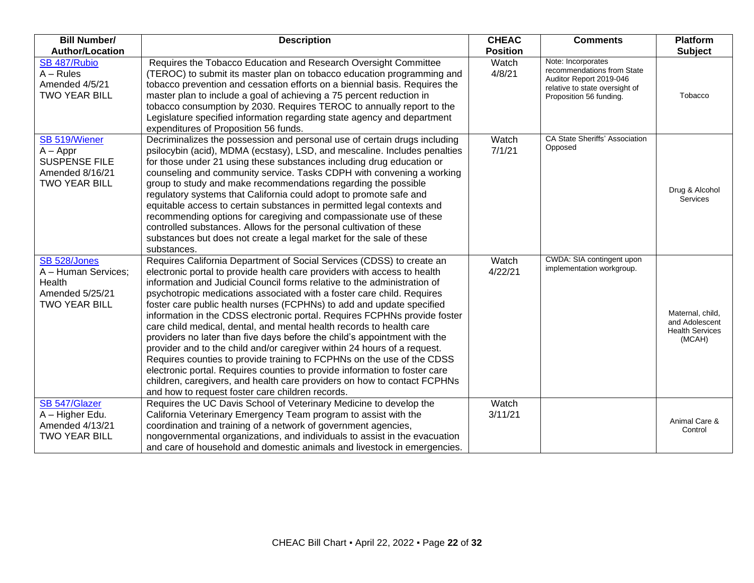| <b>Bill Number/</b>                                                                                  | <b>Description</b>                                                                                                                                                                                                                                                                                                                                                                                                                                                                                                                                                                                                                                                                                                                                                                                                                                                                                                                                                                     | <b>CHEAC</b>     | <b>Comments</b>                                                                                                                          | <b>Platform</b>                                                        |
|------------------------------------------------------------------------------------------------------|----------------------------------------------------------------------------------------------------------------------------------------------------------------------------------------------------------------------------------------------------------------------------------------------------------------------------------------------------------------------------------------------------------------------------------------------------------------------------------------------------------------------------------------------------------------------------------------------------------------------------------------------------------------------------------------------------------------------------------------------------------------------------------------------------------------------------------------------------------------------------------------------------------------------------------------------------------------------------------------|------------------|------------------------------------------------------------------------------------------------------------------------------------------|------------------------------------------------------------------------|
| <b>Author/Location</b>                                                                               |                                                                                                                                                                                                                                                                                                                                                                                                                                                                                                                                                                                                                                                                                                                                                                                                                                                                                                                                                                                        | <b>Position</b>  |                                                                                                                                          | <b>Subject</b>                                                         |
| SB 487/Rubio<br>$A - Rules$<br>Amended 4/5/21<br><b>TWO YEAR BILL</b>                                | Requires the Tobacco Education and Research Oversight Committee<br>(TEROC) to submit its master plan on tobacco education programming and<br>tobacco prevention and cessation efforts on a biennial basis. Requires the<br>master plan to include a goal of achieving a 75 percent reduction in<br>tobacco consumption by 2030. Requires TEROC to annually report to the<br>Legislature specified information regarding state agency and department<br>expenditures of Proposition 56 funds.                                                                                                                                                                                                                                                                                                                                                                                                                                                                                           | Watch<br>4/8/21  | Note: Incorporates<br>recommendations from State<br>Auditor Report 2019-046<br>relative to state oversight of<br>Proposition 56 funding. | Tobacco                                                                |
| SB 519/Wiener<br>$A - Appr$<br><b>SUSPENSE FILE</b><br>Amended 8/16/21<br><b>TWO YEAR BILL</b>       | Decriminalizes the possession and personal use of certain drugs including<br>psilocybin (acid), MDMA (ecstasy), LSD, and mescaline. Includes penalties<br>for those under 21 using these substances including drug education or<br>counseling and community service. Tasks CDPH with convening a working<br>group to study and make recommendations regarding the possible<br>regulatory systems that California could adopt to promote safe and<br>equitable access to certain substances in permitted legal contexts and<br>recommending options for caregiving and compassionate use of these<br>controlled substances. Allows for the personal cultivation of these<br>substances but does not create a legal market for the sale of these<br>substances.                                                                                                                                                                                                                          | Watch<br>7/1/21  | CA State Sheriffs' Association<br>Opposed                                                                                                | Drug & Alcohol<br>Services                                             |
| SB <sub>528</sub> /Jones<br>A - Human Services;<br>Health<br>Amended 5/25/21<br><b>TWO YEAR BILL</b> | Requires California Department of Social Services (CDSS) to create an<br>electronic portal to provide health care providers with access to health<br>information and Judicial Council forms relative to the administration of<br>psychotropic medications associated with a foster care child. Requires<br>foster care public health nurses (FCPHNs) to add and update specified<br>information in the CDSS electronic portal. Requires FCPHNs provide foster<br>care child medical, dental, and mental health records to health care<br>providers no later than five days before the child's appointment with the<br>provider and to the child and/or caregiver within 24 hours of a request.<br>Requires counties to provide training to FCPHNs on the use of the CDSS<br>electronic portal. Requires counties to provide information to foster care<br>children, caregivers, and health care providers on how to contact FCPHNs<br>and how to request foster care children records. | Watch<br>4/22/21 | CWDA: SIA contingent upon<br>implementation workgroup.                                                                                   | Maternal, child,<br>and Adolescent<br><b>Health Services</b><br>(MCAH) |
| SB 547/Glazer<br>A - Higher Edu.<br>Amended 4/13/21<br><b>TWO YEAR BILL</b>                          | Requires the UC Davis School of Veterinary Medicine to develop the<br>California Veterinary Emergency Team program to assist with the<br>coordination and training of a network of government agencies,<br>nongovernmental organizations, and individuals to assist in the evacuation<br>and care of household and domestic animals and livestock in emergencies.                                                                                                                                                                                                                                                                                                                                                                                                                                                                                                                                                                                                                      | Watch<br>3/11/21 |                                                                                                                                          | Animal Care &<br>Control                                               |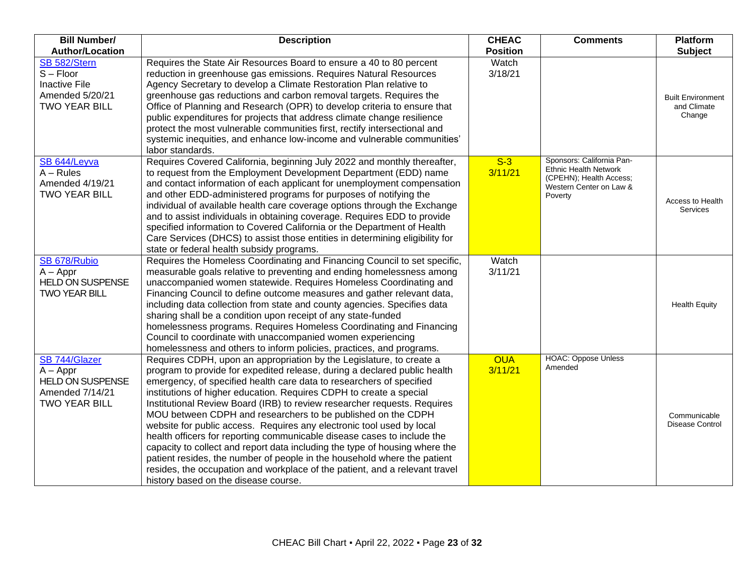| <b>Bill Number/</b><br><b>Author/Location</b>                                                  | <b>Description</b>                                                                                                                                                                                                                                                                                                                                                                                                                                                                                                                                                                                                                                                                                                                                                                                                                                                                 | <b>CHEAC</b><br><b>Position</b> | <b>Comments</b>                                                                                                            | <b>Platform</b><br><b>Subject</b>                 |
|------------------------------------------------------------------------------------------------|------------------------------------------------------------------------------------------------------------------------------------------------------------------------------------------------------------------------------------------------------------------------------------------------------------------------------------------------------------------------------------------------------------------------------------------------------------------------------------------------------------------------------------------------------------------------------------------------------------------------------------------------------------------------------------------------------------------------------------------------------------------------------------------------------------------------------------------------------------------------------------|---------------------------------|----------------------------------------------------------------------------------------------------------------------------|---------------------------------------------------|
| SB 582/Stern<br>$S - Floor$<br><b>Inactive File</b><br>Amended 5/20/21<br><b>TWO YEAR BILL</b> | Requires the State Air Resources Board to ensure a 40 to 80 percent<br>reduction in greenhouse gas emissions. Requires Natural Resources<br>Agency Secretary to develop a Climate Restoration Plan relative to<br>greenhouse gas reductions and carbon removal targets. Requires the<br>Office of Planning and Research (OPR) to develop criteria to ensure that<br>public expenditures for projects that address climate change resilience<br>protect the most vulnerable communities first, rectify intersectional and<br>systemic inequities, and enhance low-income and vulnerable communities'<br>labor standards.                                                                                                                                                                                                                                                            | Watch<br>3/18/21                |                                                                                                                            | <b>Built Environment</b><br>and Climate<br>Change |
| SB <sub>644</sub> /Leyva<br>$A - Rules$<br>Amended 4/19/21<br><b>TWO YEAR BILL</b>             | Requires Covered California, beginning July 2022 and monthly thereafter,<br>to request from the Employment Development Department (EDD) name<br>and contact information of each applicant for unemployment compensation<br>and other EDD-administered programs for purposes of notifying the<br>individual of available health care coverage options through the Exchange<br>and to assist individuals in obtaining coverage. Requires EDD to provide<br>specified information to Covered California or the Department of Health<br>Care Services (DHCS) to assist those entities in determining eligibility for<br>state or federal health subsidy programs.                                                                                                                                                                                                                      | $S-3$<br>3/11/21                | Sponsors: California Pan-<br><b>Ethnic Health Network</b><br>(CPEHN); Health Access;<br>Western Center on Law &<br>Poverty | Access to Health<br><b>Services</b>               |
| SB 678/Rubio<br>$A - Appr$<br><b>HELD ON SUSPENSE</b><br><b>TWO YEAR BILL</b>                  | Requires the Homeless Coordinating and Financing Council to set specific,<br>measurable goals relative to preventing and ending homelessness among<br>unaccompanied women statewide. Requires Homeless Coordinating and<br>Financing Council to define outcome measures and gather relevant data,<br>including data collection from state and county agencies. Specifies data<br>sharing shall be a condition upon receipt of any state-funded<br>homelessness programs. Requires Homeless Coordinating and Financing<br>Council to coordinate with unaccompanied women experiencing<br>homelessness and others to inform policies, practices, and programs.                                                                                                                                                                                                                       | Watch<br>3/11/21                |                                                                                                                            | <b>Health Equity</b>                              |
| SB 744/Glazer<br>$A - Appr$<br><b>HELD ON SUSPENSE</b><br>Amended 7/14/21<br>TWO YEAR BILL     | Requires CDPH, upon an appropriation by the Legislature, to create a<br>program to provide for expedited release, during a declared public health<br>emergency, of specified health care data to researchers of specified<br>institutions of higher education. Requires CDPH to create a special<br>Institutional Review Board (IRB) to review researcher requests. Requires<br>MOU between CDPH and researchers to be published on the CDPH<br>website for public access. Requires any electronic tool used by local<br>health officers for reporting communicable disease cases to include the<br>capacity to collect and report data including the type of housing where the<br>patient resides, the number of people in the household where the patient<br>resides, the occupation and workplace of the patient, and a relevant travel<br>history based on the disease course. | <b>OUA</b><br>3/11/21           | <b>HOAC: Oppose Unless</b><br>Amended                                                                                      | Communicable<br>Disease Control                   |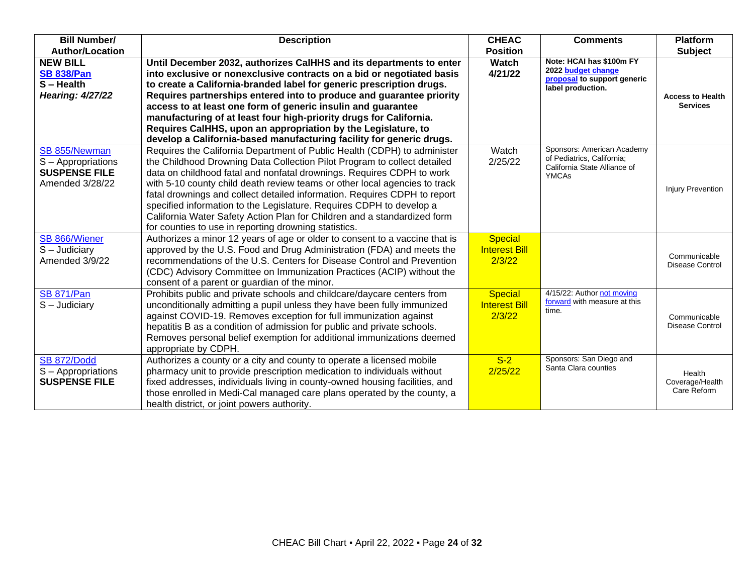| <b>Bill Number/</b>     | <b>Description</b>                                                          | <b>CHEAC</b>         | <b>Comments</b>                                            | <b>Platform</b>                        |
|-------------------------|-----------------------------------------------------------------------------|----------------------|------------------------------------------------------------|----------------------------------------|
| <b>Author/Location</b>  |                                                                             | <b>Position</b>      |                                                            | <b>Subject</b>                         |
| <b>NEW BILL</b>         | Until December 2032, authorizes CalHHS and its departments to enter         | <b>Watch</b>         | Note: HCAI has \$100m FY<br>2022 budget change             |                                        |
| <b>SB 838/Pan</b>       | into exclusive or nonexclusive contracts on a bid or negotiated basis       | 4/21/22              | proposal to support generic                                |                                        |
| $S - Health$            | to create a California-branded label for generic prescription drugs.        |                      | label production.                                          |                                        |
| <b>Hearing: 4/27/22</b> | Requires partnerships entered into to produce and guarantee priority        |                      |                                                            | <b>Access to Health</b>                |
|                         | access to at least one form of generic insulin and guarantee                |                      |                                                            | <b>Services</b>                        |
|                         | manufacturing of at least four high-priority drugs for California.          |                      |                                                            |                                        |
|                         | Requires CalHHS, upon an appropriation by the Legislature, to               |                      |                                                            |                                        |
|                         | develop a California-based manufacturing facility for generic drugs.        |                      |                                                            |                                        |
| SB 855/Newman           | Requires the California Department of Public Health (CDPH) to administer    | Watch                | Sponsors: American Academy                                 |                                        |
| S - Appropriations      | the Childhood Drowning Data Collection Pilot Program to collect detailed    | 2/25/22              | of Pediatrics, California;<br>California State Alliance of |                                        |
| <b>SUSPENSE FILE</b>    | data on childhood fatal and nonfatal drownings. Requires CDPH to work       |                      | <b>YMCAs</b>                                               |                                        |
| Amended 3/28/22         | with 5-10 county child death review teams or other local agencies to track  |                      |                                                            | <b>Injury Prevention</b>               |
|                         | fatal drownings and collect detailed information. Requires CDPH to report   |                      |                                                            |                                        |
|                         | specified information to the Legislature. Requires CDPH to develop a        |                      |                                                            |                                        |
|                         | California Water Safety Action Plan for Children and a standardized form    |                      |                                                            |                                        |
|                         | for counties to use in reporting drowning statistics.                       |                      |                                                            |                                        |
| SB 866/Wiener           | Authorizes a minor 12 years of age or older to consent to a vaccine that is | <b>Special</b>       |                                                            |                                        |
| S - Judiciary           | approved by the U.S. Food and Drug Administration (FDA) and meets the       | <b>Interest Bill</b> |                                                            |                                        |
| Amended 3/9/22          | recommendations of the U.S. Centers for Disease Control and Prevention      | 2/3/22               |                                                            | Communicable<br><b>Disease Control</b> |
|                         | (CDC) Advisory Committee on Immunization Practices (ACIP) without the       |                      |                                                            |                                        |
|                         | consent of a parent or guardian of the minor.                               |                      |                                                            |                                        |
| <b>SB 871/Pan</b>       | Prohibits public and private schools and childcare/daycare centers from     | <b>Special</b>       | 4/15/22: Author not moving                                 |                                        |
| S - Judiciary           | unconditionally admitting a pupil unless they have been fully immunized     | <b>Interest Bill</b> | forward with measure at this<br>time.                      |                                        |
|                         | against COVID-19. Removes exception for full immunization against           | 2/3/22               |                                                            | Communicable                           |
|                         | hepatitis B as a condition of admission for public and private schools.     |                      |                                                            | <b>Disease Control</b>                 |
|                         | Removes personal belief exemption for additional immunizations deemed       |                      |                                                            |                                        |
|                         | appropriate by CDPH.                                                        |                      |                                                            |                                        |
| <b>SB 872/Dodd</b>      | Authorizes a county or a city and county to operate a licensed mobile       | $S-2$                | Sponsors: San Diego and                                    |                                        |
| S - Appropriations      | pharmacy unit to provide prescription medication to individuals without     | 2/25/22              | Santa Clara counties                                       | Health                                 |
| <b>SUSPENSE FILE</b>    | fixed addresses, individuals living in county-owned housing facilities, and |                      |                                                            | Coverage/Health                        |
|                         | those enrolled in Medi-Cal managed care plans operated by the county, a     |                      |                                                            | Care Reform                            |
|                         | health district, or joint powers authority.                                 |                      |                                                            |                                        |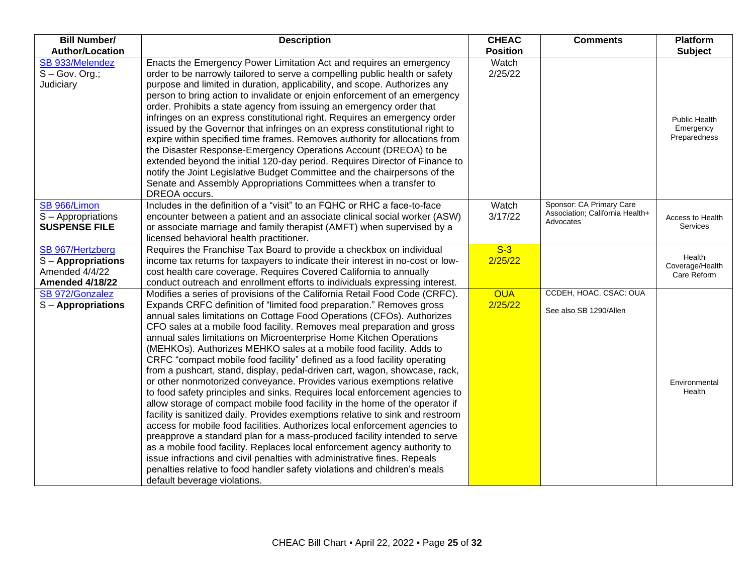| <b>Bill Number/</b><br><b>Author/Location</b>                                    | <b>Description</b>                                                                                                                                                                                                                                                                                                                                                                                                                                                                                                                                                                                                                                                                                                                                                                                                                                                                                                                                                                                                                                                                                                                                                                                                                                                                                                                                                           | <b>CHEAC</b><br><b>Position</b> | <b>Comments</b>                                                          | <b>Platform</b><br><b>Subject</b>                 |
|----------------------------------------------------------------------------------|------------------------------------------------------------------------------------------------------------------------------------------------------------------------------------------------------------------------------------------------------------------------------------------------------------------------------------------------------------------------------------------------------------------------------------------------------------------------------------------------------------------------------------------------------------------------------------------------------------------------------------------------------------------------------------------------------------------------------------------------------------------------------------------------------------------------------------------------------------------------------------------------------------------------------------------------------------------------------------------------------------------------------------------------------------------------------------------------------------------------------------------------------------------------------------------------------------------------------------------------------------------------------------------------------------------------------------------------------------------------------|---------------------------------|--------------------------------------------------------------------------|---------------------------------------------------|
| SB 933/Melendez<br>$S - Gov.$ Org.;<br>Judiciary                                 | Enacts the Emergency Power Limitation Act and requires an emergency<br>order to be narrowly tailored to serve a compelling public health or safety<br>purpose and limited in duration, applicability, and scope. Authorizes any<br>person to bring action to invalidate or enjoin enforcement of an emergency<br>order. Prohibits a state agency from issuing an emergency order that<br>infringes on an express constitutional right. Requires an emergency order<br>issued by the Governor that infringes on an express constitutional right to<br>expire within specified time frames. Removes authority for allocations from<br>the Disaster Response-Emergency Operations Account (DREOA) to be<br>extended beyond the initial 120-day period. Requires Director of Finance to<br>notify the Joint Legislative Budget Committee and the chairpersons of the<br>Senate and Assembly Appropriations Committees when a transfer to<br>DREOA occurs.                                                                                                                                                                                                                                                                                                                                                                                                                        | Watch<br>2/25/22                |                                                                          | <b>Public Health</b><br>Emergency<br>Preparedness |
| SB 966/Limon<br>S - Appropriations<br><b>SUSPENSE FILE</b>                       | Includes in the definition of a "visit" to an FQHC or RHC a face-to-face<br>encounter between a patient and an associate clinical social worker (ASW)<br>or associate marriage and family therapist (AMFT) when supervised by a<br>licensed behavioral health practitioner.                                                                                                                                                                                                                                                                                                                                                                                                                                                                                                                                                                                                                                                                                                                                                                                                                                                                                                                                                                                                                                                                                                  | Watch<br>3/17/22                | Sponsor: CA Primary Care<br>Association; California Health+<br>Advocates | Access to Health<br>Services                      |
| SB 967/Hertzberg<br>S-Appropriations<br>Amended 4/4/22<br><b>Amended 4/18/22</b> | Requires the Franchise Tax Board to provide a checkbox on individual<br>income tax returns for taxpayers to indicate their interest in no-cost or low-<br>cost health care coverage. Requires Covered California to annually<br>conduct outreach and enrollment efforts to individuals expressing interest.                                                                                                                                                                                                                                                                                                                                                                                                                                                                                                                                                                                                                                                                                                                                                                                                                                                                                                                                                                                                                                                                  | $S-3$<br>2/25/22                |                                                                          | Health<br>Coverage/Health<br>Care Reform          |
| SB 972/Gonzalez<br>$S -$ Appropriations                                          | Modifies a series of provisions of the California Retail Food Code (CRFC).<br>Expands CRFC definition of "limited food preparation." Removes gross<br>annual sales limitations on Cottage Food Operations (CFOs). Authorizes<br>CFO sales at a mobile food facility. Removes meal preparation and gross<br>annual sales limitations on Microenterprise Home Kitchen Operations<br>(MEHKOs). Authorizes MEHKO sales at a mobile food facility. Adds to<br>CRFC "compact mobile food facility" defined as a food facility operating<br>from a pushcart, stand, display, pedal-driven cart, wagon, showcase, rack,<br>or other nonmotorized conveyance. Provides various exemptions relative<br>to food safety principles and sinks. Requires local enforcement agencies to<br>allow storage of compact mobile food facility in the home of the operator if<br>facility is sanitized daily. Provides exemptions relative to sink and restroom<br>access for mobile food facilities. Authorizes local enforcement agencies to<br>preapprove a standard plan for a mass-produced facility intended to serve<br>as a mobile food facility. Replaces local enforcement agency authority to<br>issue infractions and civil penalties with administrative fines. Repeals<br>penalties relative to food handler safety violations and children's meals<br>default beverage violations. | <b>OUA</b><br>2/25/22           | CCDEH, HOAC, CSAC: OUA<br>See also SB 1290/Allen                         | Environmental<br>Health                           |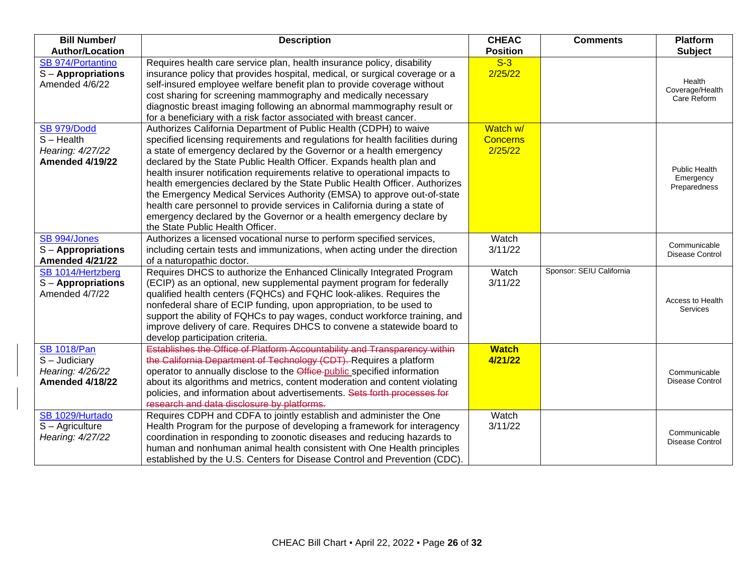| <b>Bill Number/</b>        | <b>Description</b>                                                            | <b>CHEAC</b>    | <b>Comments</b>          | <b>Platform</b>      |
|----------------------------|-------------------------------------------------------------------------------|-----------------|--------------------------|----------------------|
| <b>Author/Location</b>     |                                                                               | <b>Position</b> |                          | <b>Subject</b>       |
| SB 974/Portantino          | Requires health care service plan, health insurance policy, disability        | $S-3$           |                          |                      |
| $S -$ Appropriations       | insurance policy that provides hospital, medical, or surgical coverage or a   | 2/25/22         |                          | Health               |
| Amended 4/6/22             | self-insured employee welfare benefit plan to provide coverage without        |                 |                          | Coverage/Health      |
|                            | cost sharing for screening mammography and medically necessary                |                 |                          | Care Reform          |
|                            | diagnostic breast imaging following an abnormal mammography result or         |                 |                          |                      |
|                            | for a beneficiary with a risk factor associated with breast cancer.           |                 |                          |                      |
| <b>SB 979/Dodd</b>         | Authorizes California Department of Public Health (CDPH) to waive             | Watch w/        |                          |                      |
| $S - Health$               | specified licensing requirements and regulations for health facilities during | <b>Concerns</b> |                          |                      |
| Hearing: 4/27/22           | a state of emergency declared by the Governor or a health emergency           | 2/25/22         |                          |                      |
| <b>Amended 4/19/22</b>     | declared by the State Public Health Officer. Expands health plan and          |                 |                          | <b>Public Health</b> |
|                            | health insurer notification requirements relative to operational impacts to   |                 |                          | Emergency            |
|                            | health emergencies declared by the State Public Health Officer. Authorizes    |                 |                          | Preparedness         |
|                            | the Emergency Medical Services Authority (EMSA) to approve out-of-state       |                 |                          |                      |
|                            | health care personnel to provide services in California during a state of     |                 |                          |                      |
|                            | emergency declared by the Governor or a health emergency declare by           |                 |                          |                      |
|                            | the State Public Health Officer.                                              |                 |                          |                      |
| SB 994/Jones               | Authorizes a licensed vocational nurse to perform specified services,         | Watch           |                          | Communicable         |
| $S -$ Appropriations       | including certain tests and immunizations, when acting under the direction    | 3/11/22         |                          | Disease Control      |
| <b>Amended 4/21/22</b>     | of a naturopathic doctor.                                                     |                 |                          |                      |
| SB 1014/Hertzberg          | Requires DHCS to authorize the Enhanced Clinically Integrated Program         | Watch           | Sponsor: SEIU California |                      |
| $S -$ Appropriations       | (ECIP) as an optional, new supplemental payment program for federally         | 3/11/22         |                          |                      |
| Amended 4/7/22             | qualified health centers (FQHCs) and FQHC look-alikes. Requires the           |                 |                          | Access to Health     |
|                            | nonfederal share of ECIP funding, upon appropriation, to be used to           |                 |                          | Services             |
|                            | support the ability of FQHCs to pay wages, conduct workforce training, and    |                 |                          |                      |
|                            | improve delivery of care. Requires DHCS to convene a statewide board to       |                 |                          |                      |
|                            | develop participation criteria.                                               |                 |                          |                      |
| <b>SB 1018/Pan</b>         | Establishes the Office of Platform Accountability and Transparency within     | <b>Watch</b>    |                          |                      |
| $\overline{S}$ – Judiciary | the California Department of Technology (CDT). Requires a platform            | 4/21/22         |                          |                      |
| Hearing: 4/26/22           | operator to annually disclose to the Office-public specified information      |                 |                          | Communicable         |
| <b>Amended 4/18/22</b>     | about its algorithms and metrics, content moderation and content violating    |                 |                          | Disease Control      |
|                            | policies, and information about advertisements. Sets forth processes for      |                 |                          |                      |
|                            | research and data disclosure by platforms.                                    |                 |                          |                      |
| SB 1029/Hurtado            | Requires CDPH and CDFA to jointly establish and administer the One            | Watch           |                          |                      |
| S - Agriculture            | Health Program for the purpose of developing a framework for interagency      | 3/11/22         |                          | Communicable         |
| Hearing: 4/27/22           | coordination in responding to zoonotic diseases and reducing hazards to       |                 |                          | Disease Control      |
|                            | human and nonhuman animal health consistent with One Health principles        |                 |                          |                      |
|                            | established by the U.S. Centers for Disease Control and Prevention (CDC).     |                 |                          |                      |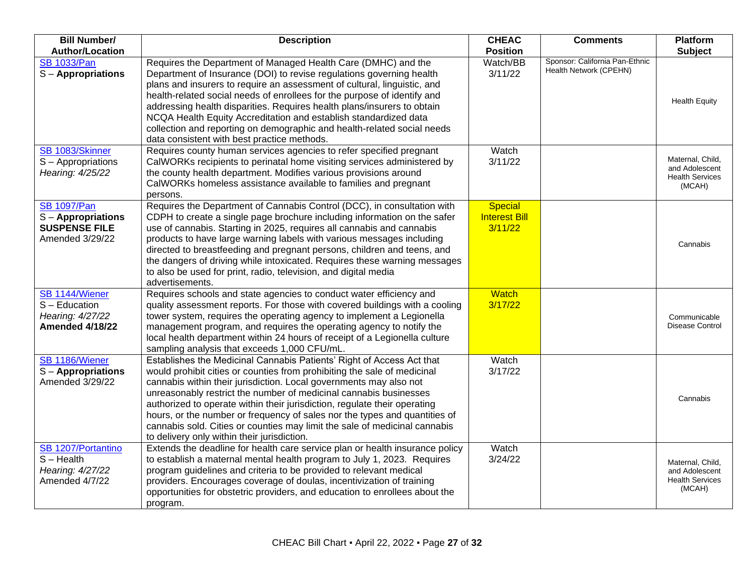| <b>Bill Number/</b><br><b>Author/Location</b>                                       | <b>Description</b>                                                                                                                                                                                                                                                                                                                                                                                                                                                                                                                                                                   | <b>CHEAC</b><br><b>Position</b>                   | <b>Comments</b>                                          | <b>Platform</b><br><b>Subject</b>                                      |
|-------------------------------------------------------------------------------------|--------------------------------------------------------------------------------------------------------------------------------------------------------------------------------------------------------------------------------------------------------------------------------------------------------------------------------------------------------------------------------------------------------------------------------------------------------------------------------------------------------------------------------------------------------------------------------------|---------------------------------------------------|----------------------------------------------------------|------------------------------------------------------------------------|
| <b>SB 1033/Pan</b><br>S - Appropriations                                            | Requires the Department of Managed Health Care (DMHC) and the<br>Department of Insurance (DOI) to revise regulations governing health<br>plans and insurers to require an assessment of cultural, linguistic, and<br>health-related social needs of enrollees for the purpose of identify and<br>addressing health disparities. Requires health plans/insurers to obtain<br>NCQA Health Equity Accreditation and establish standardized data<br>collection and reporting on demographic and health-related social needs<br>data consistent with best practice methods.               | Watch/BB<br>3/11/22                               | Sponsor: California Pan-Ethnic<br>Health Network (CPEHN) | <b>Health Equity</b>                                                   |
| SB 1083/Skinner<br>S - Appropriations<br>Hearing: 4/25/22                           | Requires county human services agencies to refer specified pregnant<br>CalWORKs recipients to perinatal home visiting services administered by<br>the county health department. Modifies various provisions around<br>CalWORKs homeless assistance available to families and pregnant<br>persons.                                                                                                                                                                                                                                                                                    | Watch<br>3/11/22                                  |                                                          | Maternal, Child,<br>and Adolescent<br><b>Health Services</b><br>(MCAH) |
| <b>SB 1097/Pan</b><br>S - Appropriations<br><b>SUSPENSE FILE</b><br>Amended 3/29/22 | Requires the Department of Cannabis Control (DCC), in consultation with<br>CDPH to create a single page brochure including information on the safer<br>use of cannabis. Starting in 2025, requires all cannabis and cannabis<br>products to have large warning labels with various messages including<br>directed to breastfeeding and pregnant persons, children and teens, and<br>the dangers of driving while intoxicated. Requires these warning messages<br>to also be used for print, radio, television, and digital media<br>advertisements.                                  | <b>Special</b><br><b>Interest Bill</b><br>3/11/22 |                                                          | Cannabis                                                               |
| SB 1144/Wiener<br>S - Education<br>Hearing: 4/27/22<br><b>Amended 4/18/22</b>       | Requires schools and state agencies to conduct water efficiency and<br>quality assessment reports. For those with covered buildings with a cooling<br>tower system, requires the operating agency to implement a Legionella<br>management program, and requires the operating agency to notify the<br>local health department within 24 hours of receipt of a Legionella culture<br>sampling analysis that exceeds 1,000 CFU/mL.                                                                                                                                                     | <b>Watch</b><br>3/17/22                           |                                                          | Communicable<br>Disease Control                                        |
| SB 1186/Wiener<br>S - Appropriations<br>Amended 3/29/22                             | Establishes the Medicinal Cannabis Patients' Right of Access Act that<br>would prohibit cities or counties from prohibiting the sale of medicinal<br>cannabis within their jurisdiction. Local governments may also not<br>unreasonably restrict the number of medicinal cannabis businesses<br>authorized to operate within their jurisdiction, regulate their operating<br>hours, or the number or frequency of sales nor the types and quantities of<br>cannabis sold. Cities or counties may limit the sale of medicinal cannabis<br>to delivery only within their jurisdiction. | Watch<br>3/17/22                                  |                                                          | Cannabis                                                               |
| SB 1207/Portantino<br>$S - Health$<br>Hearing: 4/27/22<br>Amended 4/7/22            | Extends the deadline for health care service plan or health insurance policy<br>to establish a maternal mental health program to July 1, 2023. Requires<br>program guidelines and criteria to be provided to relevant medical<br>providers. Encourages coverage of doulas, incentivization of training<br>opportunities for obstetric providers, and education to enrollees about the<br>program.                                                                                                                                                                                    | Watch<br>3/24/22                                  |                                                          | Maternal, Child,<br>and Adolescent<br><b>Health Services</b><br>(MCAH) |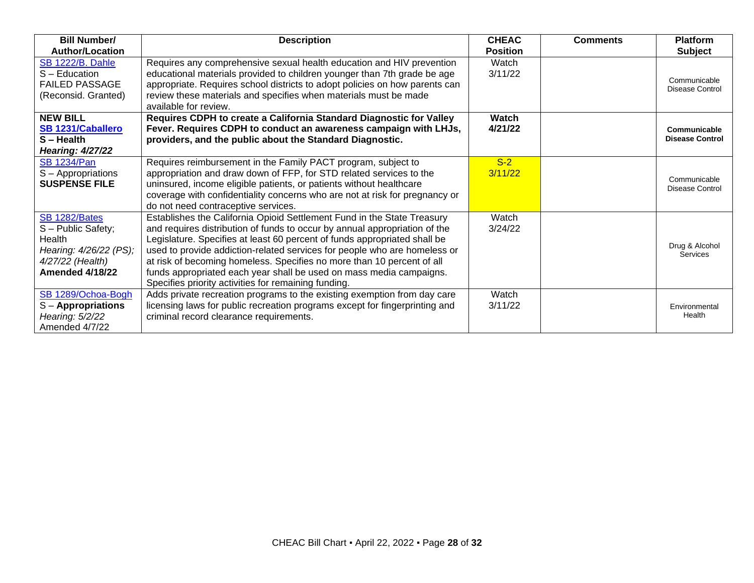| <b>Bill Number/</b>                                                                                                   | <b>Description</b>                                                                                                                                                                                                                                                                                                                                                                                                                                                                                                       | <b>CHEAC</b>     | <b>Comments</b> | <b>Platform</b>                        |
|-----------------------------------------------------------------------------------------------------------------------|--------------------------------------------------------------------------------------------------------------------------------------------------------------------------------------------------------------------------------------------------------------------------------------------------------------------------------------------------------------------------------------------------------------------------------------------------------------------------------------------------------------------------|------------------|-----------------|----------------------------------------|
| <b>Author/Location</b>                                                                                                |                                                                                                                                                                                                                                                                                                                                                                                                                                                                                                                          | <b>Position</b>  |                 | <b>Subject</b>                         |
| <b>SB 1222/B. Dahle</b><br>S - Education<br><b>FAILED PASSAGE</b><br>(Reconsid. Granted)                              | Requires any comprehensive sexual health education and HIV prevention<br>educational materials provided to children younger than 7th grade be age<br>appropriate. Requires school districts to adopt policies on how parents can<br>review these materials and specifies when materials must be made<br>available for review.                                                                                                                                                                                            | Watch<br>3/11/22 |                 | Communicable<br>Disease Control        |
| <b>NEW BILL</b><br>SB 1231/Caballero<br>$S - Health$<br><b>Hearing: 4/27/22</b>                                       | Requires CDPH to create a California Standard Diagnostic for Valley<br>Fever. Requires CDPH to conduct an awareness campaign with LHJs,<br>providers, and the public about the Standard Diagnostic.                                                                                                                                                                                                                                                                                                                      | Watch<br>4/21/22 |                 | Communicable<br><b>Disease Control</b> |
| <b>SB 1234/Pan</b><br>S - Appropriations<br><b>SUSPENSE FILE</b>                                                      | Requires reimbursement in the Family PACT program, subject to<br>appropriation and draw down of FFP, for STD related services to the<br>uninsured, income eligible patients, or patients without healthcare<br>coverage with confidentiality concerns who are not at risk for pregnancy or<br>do not need contraceptive services.                                                                                                                                                                                        | $S-2$<br>3/11/22 |                 | Communicable<br><b>Disease Control</b> |
| SB 1282/Bates<br>S - Public Safety;<br>Health<br>Hearing: 4/26/22 (PS);<br>4/27/22 (Health)<br><b>Amended 4/18/22</b> | Establishes the California Opioid Settlement Fund in the State Treasury<br>and requires distribution of funds to occur by annual appropriation of the<br>Legislature. Specifies at least 60 percent of funds appropriated shall be<br>used to provide addiction-related services for people who are homeless or<br>at risk of becoming homeless. Specifies no more than 10 percent of all<br>funds appropriated each year shall be used on mass media campaigns.<br>Specifies priority activities for remaining funding. | Watch<br>3/24/22 |                 | Drug & Alcohol<br>Services             |
| SB 1289/Ochoa-Bogh<br>S - Appropriations<br>Hearing: 5/2/22<br>Amended 4/7/22                                         | Adds private recreation programs to the existing exemption from day care<br>licensing laws for public recreation programs except for fingerprinting and<br>criminal record clearance requirements.                                                                                                                                                                                                                                                                                                                       | Watch<br>3/11/22 |                 | Environmental<br>Health                |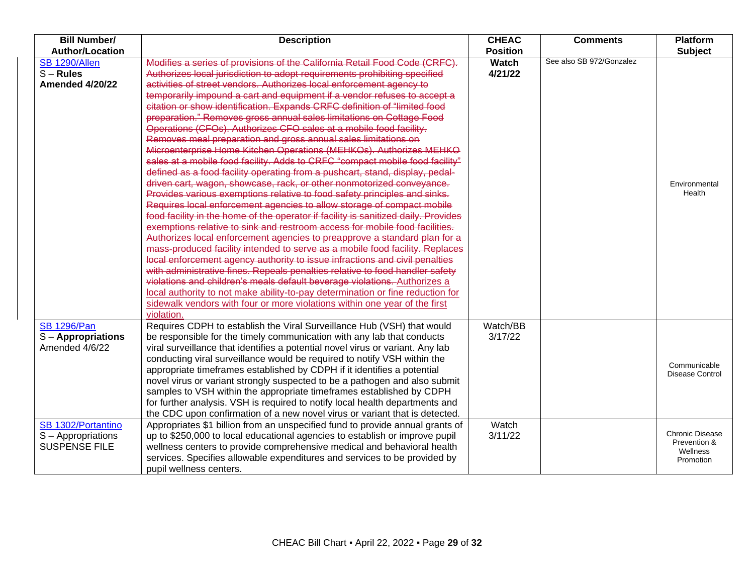| <b>Bill Number/</b>       | <b>Description</b>                                                                 | <b>CHEAC</b>    | <b>Comments</b>          | <b>Platform</b>          |
|---------------------------|------------------------------------------------------------------------------------|-----------------|--------------------------|--------------------------|
| <b>Author/Location</b>    |                                                                                    | <b>Position</b> |                          | <b>Subject</b>           |
| <b>SB 1290/Allen</b>      | Modifies a series of provisions of the California Retail Food Code (CRFC).         | <b>Watch</b>    | See also SB 972/Gonzalez |                          |
| $S - Rules$               | Authorizes local jurisdiction to adopt requirements prohibiting specified          | 4/21/22         |                          |                          |
| Amended 4/20/22           | activities of street vendors. Authorizes local enforcement agency to               |                 |                          |                          |
|                           | temporarily impound a cart and equipment if a vendor refuses to accept a           |                 |                          |                          |
|                           | citation or show identification. Expands CRFC definition of "limited food          |                 |                          |                          |
|                           | preparation." Removes gross annual sales limitations on Cottage Food               |                 |                          |                          |
|                           | Operations (CFOs). Authorizes CFO sales at a mobile food facility.                 |                 |                          |                          |
|                           | Removes meal preparation and gross annual sales limitations on                     |                 |                          |                          |
|                           | Microenterprise Home Kitchen Operations (MEHKOs). Authorizes MEHKO                 |                 |                          |                          |
|                           | sales at a mobile food facility. Adds to CRFC "compact mobile food facility"       |                 |                          |                          |
|                           | defined as a food facility operating from a pushcart, stand, display, pedal-       |                 |                          |                          |
|                           | driven cart, wagon, showcase, rack, or other nonmotorized conveyance.              |                 |                          | Environmental            |
|                           | Provides various exemptions relative to food safety principles and sinks.          |                 |                          | Health                   |
|                           | Requires local enforcement agencies to allow storage of compact mobile             |                 |                          |                          |
|                           | food facility in the home of the operator if facility is sanitized daily. Provides |                 |                          |                          |
|                           | exemptions relative to sink and restroom access for mobile food facilities.        |                 |                          |                          |
|                           | Authorizes local enforcement agencies to preapprove a standard plan for a          |                 |                          |                          |
|                           | mass-produced facility intended to serve as a mobile food facility. Replaces       |                 |                          |                          |
|                           | local enforcement agency authority to issue infractions and civil penalties        |                 |                          |                          |
|                           | with administrative fines. Repeals penalties relative to food handler safety       |                 |                          |                          |
|                           | violations and children's meals default beverage violations. Authorizes a          |                 |                          |                          |
|                           | local authority to not make ability-to-pay determination or fine reduction for     |                 |                          |                          |
|                           | sidewalk vendors with four or more violations within one year of the first         |                 |                          |                          |
|                           | violation.                                                                         |                 |                          |                          |
| <b>SB 1296/Pan</b>        | Requires CDPH to establish the Viral Surveillance Hub (VSH) that would             | Watch/BB        |                          |                          |
| <b>S</b> – Appropriations | be responsible for the timely communication with any lab that conducts             | 3/17/22         |                          |                          |
| Amended 4/6/22            | viral surveillance that identifies a potential novel virus or variant. Any lab     |                 |                          |                          |
|                           | conducting viral surveillance would be required to notify VSH within the           |                 |                          | Communicable             |
|                           | appropriate timeframes established by CDPH if it identifies a potential            |                 |                          | Disease Control          |
|                           | novel virus or variant strongly suspected to be a pathogen and also submit         |                 |                          |                          |
|                           | samples to VSH within the appropriate timeframes established by CDPH               |                 |                          |                          |
|                           | for further analysis. VSH is required to notify local health departments and       |                 |                          |                          |
|                           | the CDC upon confirmation of a new novel virus or variant that is detected.        |                 |                          |                          |
| SB 1302/Portantino        | Appropriates \$1 billion from an unspecified fund to provide annual grants of      | Watch           |                          |                          |
| S - Appropriations        | up to \$250,000 to local educational agencies to establish or improve pupil        | 3/11/22         |                          | <b>Chronic Disease</b>   |
| <b>SUSPENSE FILE</b>      | wellness centers to provide comprehensive medical and behavioral health            |                 |                          | Prevention &<br>Wellness |
|                           | services. Specifies allowable expenditures and services to be provided by          |                 |                          | Promotion                |
|                           | pupil wellness centers.                                                            |                 |                          |                          |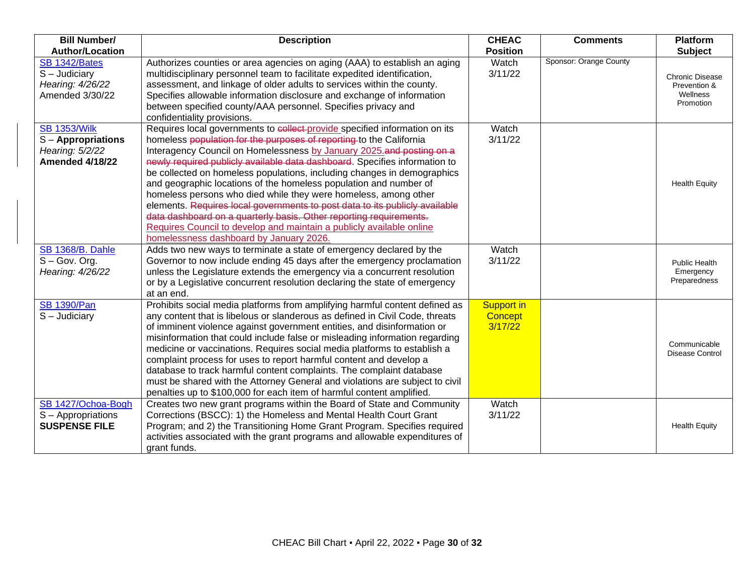| <b>Bill Number/</b>                                                                  | <b>Description</b>                                                                                                                                                                                                                                                                                                                                                                                                                                                                                                                                                                                                                                                                                                                                                                                 | <b>CHEAC</b>                            | <b>Comments</b>        | Platform                                                        |
|--------------------------------------------------------------------------------------|----------------------------------------------------------------------------------------------------------------------------------------------------------------------------------------------------------------------------------------------------------------------------------------------------------------------------------------------------------------------------------------------------------------------------------------------------------------------------------------------------------------------------------------------------------------------------------------------------------------------------------------------------------------------------------------------------------------------------------------------------------------------------------------------------|-----------------------------------------|------------------------|-----------------------------------------------------------------|
| <b>Author/Location</b>                                                               |                                                                                                                                                                                                                                                                                                                                                                                                                                                                                                                                                                                                                                                                                                                                                                                                    | <b>Position</b>                         |                        | <b>Subject</b>                                                  |
| SB 1342/Bates<br>$S -$ Judiciary<br>Hearing: 4/26/22<br>Amended 3/30/22              | Authorizes counties or area agencies on aging (AAA) to establish an aging<br>multidisciplinary personnel team to facilitate expedited identification,<br>assessment, and linkage of older adults to services within the county.<br>Specifies allowable information disclosure and exchange of information<br>between specified county/AAA personnel. Specifies privacy and<br>confidentiality provisions.                                                                                                                                                                                                                                                                                                                                                                                          | Watch<br>3/11/22                        | Sponsor: Orange County | <b>Chronic Disease</b><br>Prevention &<br>Wellness<br>Promotion |
| <b>SB 1353/Wilk</b><br>S-Appropriations<br>Hearing: 5/2/22<br><b>Amended 4/18/22</b> | Requires local governments to collect provide specified information on its<br>homeless population for the purposes of reporting to the California<br>Interagency Council on Homelessness by January 2025 and posting on a<br>newly required publicly available data dashboard. Specifies information to<br>be collected on homeless populations, including changes in demographics<br>and geographic locations of the homeless population and number of<br>homeless persons who died while they were homeless, among other<br>elements. Requires local governments to post data to its publicly available<br>data dashboard on a quarterly basis. Other reporting requirements.<br>Requires Council to develop and maintain a publicly available online<br>homelessness dashboard by January 2026. | Watch<br>3/11/22                        |                        | <b>Health Equity</b>                                            |
| <b>SB 1368/B. Dahle</b><br>$S - Gov.$ Org.<br>Hearing: 4/26/22                       | Adds two new ways to terminate a state of emergency declared by the<br>Governor to now include ending 45 days after the emergency proclamation<br>unless the Legislature extends the emergency via a concurrent resolution<br>or by a Legislative concurrent resolution declaring the state of emergency<br>at an end.                                                                                                                                                                                                                                                                                                                                                                                                                                                                             | Watch<br>3/11/22                        |                        | <b>Public Health</b><br>Emergency<br>Preparedness               |
| <b>SB 1390/Pan</b><br>$S -$ Judiciary                                                | Prohibits social media platforms from amplifying harmful content defined as<br>any content that is libelous or slanderous as defined in Civil Code, threats<br>of imminent violence against government entities, and disinformation or<br>misinformation that could include false or misleading information regarding<br>medicine or vaccinations. Requires social media platforms to establish a<br>complaint process for uses to report harmful content and develop a<br>database to track harmful content complaints. The complaint database<br>must be shared with the Attorney General and violations are subject to civil<br>penalties up to \$100,000 for each item of harmful content amplified.                                                                                           | <b>Support in</b><br>Concept<br>3/17/22 |                        | Communicable<br><b>Disease Control</b>                          |
| SB 1427/Ochoa-Bogh<br>S - Appropriations<br><b>SUSPENSE FILE</b>                     | Creates two new grant programs within the Board of State and Community<br>Corrections (BSCC): 1) the Homeless and Mental Health Court Grant<br>Program; and 2) the Transitioning Home Grant Program. Specifies required<br>activities associated with the grant programs and allowable expenditures of<br>grant funds.                                                                                                                                                                                                                                                                                                                                                                                                                                                                             | Watch<br>3/11/22                        |                        | <b>Health Equity</b>                                            |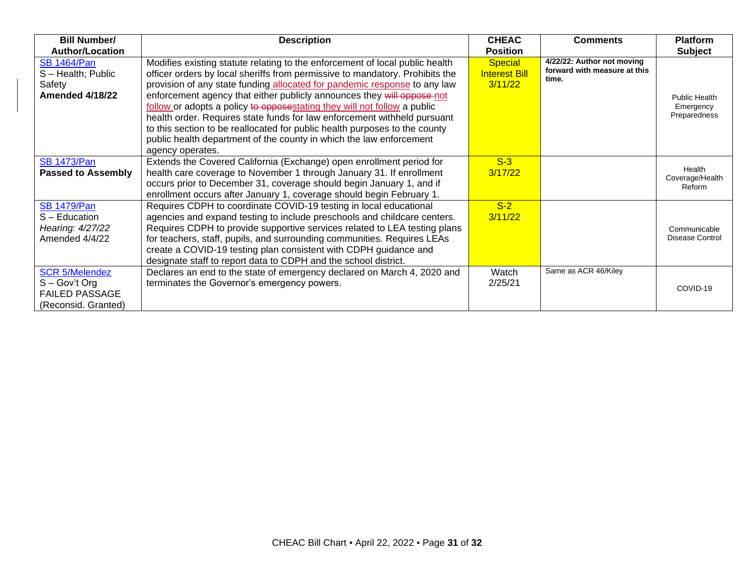| <b>Bill Number/</b>                                                                    | <b>Description</b>                                                                                                                                                                                                                                                                                                                                                                                                                                                                                                                                                                                                                                   | <b>CHEAC</b>                                      | <b>Comments</b>                                                     | <b>Platform</b>                                   |
|----------------------------------------------------------------------------------------|------------------------------------------------------------------------------------------------------------------------------------------------------------------------------------------------------------------------------------------------------------------------------------------------------------------------------------------------------------------------------------------------------------------------------------------------------------------------------------------------------------------------------------------------------------------------------------------------------------------------------------------------------|---------------------------------------------------|---------------------------------------------------------------------|---------------------------------------------------|
| <b>Author/Location</b>                                                                 |                                                                                                                                                                                                                                                                                                                                                                                                                                                                                                                                                                                                                                                      | <b>Position</b>                                   |                                                                     | <b>Subject</b>                                    |
| <b>SB 1464/Pan</b><br>S-Health; Public<br>Safety<br><b>Amended 4/18/22</b>             | Modifies existing statute relating to the enforcement of local public health<br>officer orders by local sheriffs from permissive to mandatory. Prohibits the<br>provision of any state funding allocated for pandemic response to any law<br>enforcement agency that either publicly announces they will oppose not<br>follow or adopts a policy to opposestating they will not follow a public<br>health order. Requires state funds for law enforcement withheld pursuant<br>to this section to be reallocated for public health purposes to the county<br>public health department of the county in which the law enforcement<br>agency operates. | <b>Special</b><br><b>Interest Bill</b><br>3/11/22 | 4/22/22: Author not moving<br>forward with measure at this<br>time. | <b>Public Health</b><br>Emergency<br>Preparedness |
| <b>SB 1473/Pan</b><br><b>Passed to Assembly</b>                                        | Extends the Covered California (Exchange) open enrollment period for<br>health care coverage to November 1 through January 31. If enrollment<br>occurs prior to December 31, coverage should begin January 1, and if<br>enrollment occurs after January 1, coverage should begin February 1.                                                                                                                                                                                                                                                                                                                                                         | $S-3$<br>3/17/22                                  |                                                                     | Health<br>Coverage/Health<br>Reform               |
| <b>SB 1479/Pan</b><br>S - Education<br>Hearing: 4/27/22<br>Amended 4/4/22              | Requires CDPH to coordinate COVID-19 testing in local educational<br>agencies and expand testing to include preschools and childcare centers.<br>Requires CDPH to provide supportive services related to LEA testing plans<br>for teachers, staff, pupils, and surrounding communities. Requires LEAs<br>create a COVID-19 testing plan consistent with CDPH guidance and<br>designate staff to report data to CDPH and the school district.                                                                                                                                                                                                         | $S-2$<br>3/11/22                                  |                                                                     | Communicable<br><b>Disease Control</b>            |
| <b>SCR 5/Melendez</b><br>S - Gov't Org<br><b>FAILED PASSAGE</b><br>(Reconsid. Granted) | Declares an end to the state of emergency declared on March 4, 2020 and<br>terminates the Governor's emergency powers.                                                                                                                                                                                                                                                                                                                                                                                                                                                                                                                               | Watch<br>2/25/21                                  | Same as ACR 46/Kiley                                                | COVID-19                                          |